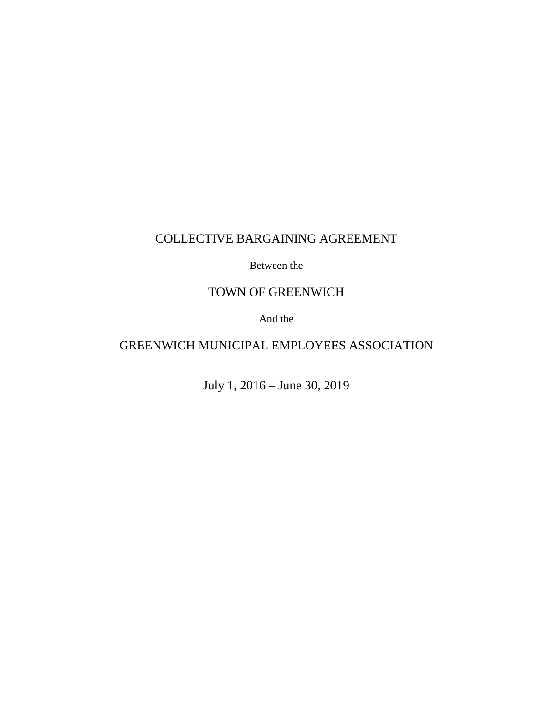# COLLECTIVE BARGAINING AGREEMENT

Between the

# TOWN OF GREENWICH

And the

# GREENWICH MUNICIPAL EMPLOYEES ASSOCIATION

July 1, 2016 – June 30, 2019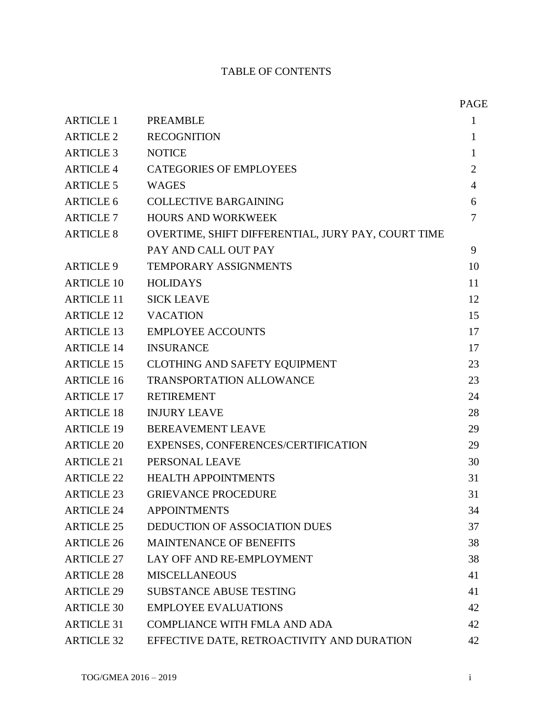# TABLE OF CONTENTS

|                   |                                                    | <b>PAGE</b>    |
|-------------------|----------------------------------------------------|----------------|
| <b>ARTICLE 1</b>  | <b>PREAMBLE</b>                                    | 1              |
| <b>ARTICLE 2</b>  | <b>RECOGNITION</b>                                 | 1              |
| <b>ARTICLE 3</b>  | <b>NOTICE</b>                                      | $\mathbf{1}$   |
| <b>ARTICLE 4</b>  | <b>CATEGORIES OF EMPLOYEES</b>                     | $\overline{2}$ |
| <b>ARTICLE 5</b>  | <b>WAGES</b>                                       | $\overline{4}$ |
| <b>ARTICLE 6</b>  | <b>COLLECTIVE BARGAINING</b>                       | 6              |
| <b>ARTICLE 7</b>  | <b>HOURS AND WORKWEEK</b>                          | 7              |
| <b>ARTICLE 8</b>  | OVERTIME, SHIFT DIFFERENTIAL, JURY PAY, COURT TIME |                |
|                   | PAY AND CALL OUT PAY                               | 9              |
| <b>ARTICLE 9</b>  | TEMPORARY ASSIGNMENTS                              | 10             |
| <b>ARTICLE 10</b> | <b>HOLIDAYS</b>                                    | 11             |
| <b>ARTICLE 11</b> | <b>SICK LEAVE</b>                                  | 12             |
| <b>ARTICLE 12</b> | <b>VACATION</b>                                    | 15             |
| <b>ARTICLE 13</b> | <b>EMPLOYEE ACCOUNTS</b>                           | 17             |
| <b>ARTICLE 14</b> | <b>INSURANCE</b>                                   | 17             |
| <b>ARTICLE 15</b> | <b>CLOTHING AND SAFETY EQUIPMENT</b>               | 23             |
| <b>ARTICLE 16</b> | <b>TRANSPORTATION ALLOWANCE</b>                    | 23             |
| <b>ARTICLE 17</b> | <b>RETIREMENT</b>                                  | 24             |
| <b>ARTICLE 18</b> | <b>INJURY LEAVE</b>                                | 28             |
| <b>ARTICLE 19</b> | <b>BEREAVEMENT LEAVE</b>                           | 29             |
| <b>ARTICLE 20</b> | EXPENSES, CONFERENCES/CERTIFICATION                | 29             |
| <b>ARTICLE 21</b> | PERSONAL LEAVE                                     | 30             |
| <b>ARTICLE 22</b> | <b>HEALTH APPOINTMENTS</b>                         | 31             |
| <b>ARTICLE 23</b> | <b>GRIEVANCE PROCEDURE</b>                         | 31             |
| <b>ARTICLE 24</b> | <b>APPOINTMENTS</b>                                | 34             |
| <b>ARTICLE 25</b> | <b>DEDUCTION OF ASSOCIATION DUES</b>               | 37             |
| <b>ARTICLE 26</b> | <b>MAINTENANCE OF BENEFITS</b>                     | 38             |
| <b>ARTICLE 27</b> | LAY OFF AND RE-EMPLOYMENT                          | 38             |
| <b>ARTICLE 28</b> | <b>MISCELLANEOUS</b>                               | 41             |
| <b>ARTICLE 29</b> | <b>SUBSTANCE ABUSE TESTING</b>                     | 41             |
| <b>ARTICLE 30</b> | <b>EMPLOYEE EVALUATIONS</b>                        | 42             |
| <b>ARTICLE 31</b> | <b>COMPLIANCE WITH FMLA AND ADA</b>                | 42             |
| <b>ARTICLE 32</b> | EFFECTIVE DATE, RETROACTIVITY AND DURATION         | 42             |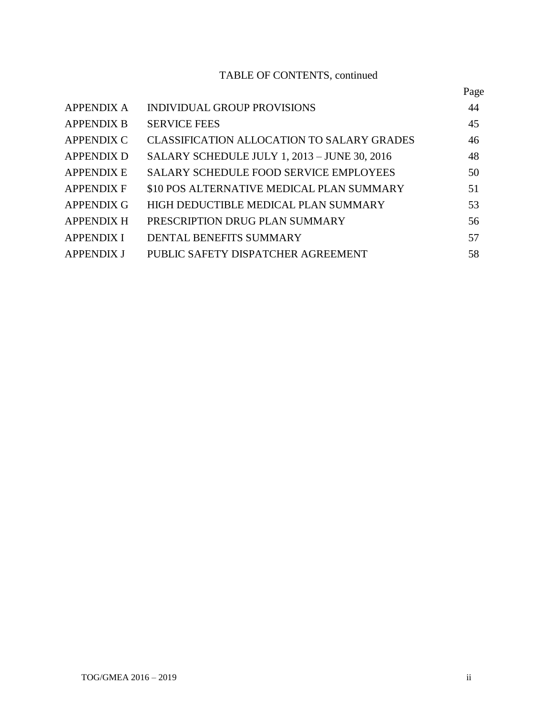# TABLE OF CONTENTS, continued

|                   |                                                   | Page |
|-------------------|---------------------------------------------------|------|
| <b>APPENDIX A</b> | <b>INDIVIDUAL GROUP PROVISIONS</b>                | 44   |
| <b>APPENDIX B</b> | <b>SERVICE FEES</b>                               | 45   |
| <b>APPENDIX C</b> | <b>CLASSIFICATION ALLOCATION TO SALARY GRADES</b> | 46   |
| <b>APPENDIX D</b> | SALARY SCHEDULE JULY 1, 2013 - JUNE 30, 2016      | 48   |
| <b>APPENDIX E</b> | <b>SALARY SCHEDULE FOOD SERVICE EMPLOYEES</b>     | 50   |
| <b>APPENDIX F</b> | \$10 POS ALTERNATIVE MEDICAL PLAN SUMMARY         | 51   |
| <b>APPENDIX G</b> | HIGH DEDUCTIBLE MEDICAL PLAN SUMMARY              | 53   |
| <b>APPENDIX H</b> | PRESCRIPTION DRUG PLAN SUMMARY                    | 56   |
| <b>APPENDIX I</b> | <b>DENTAL BENEFITS SUMMARY</b>                    | 57   |
| <b>APPENDIX J</b> | PUBLIC SAFETY DISPATCHER AGREEMENT                | 58   |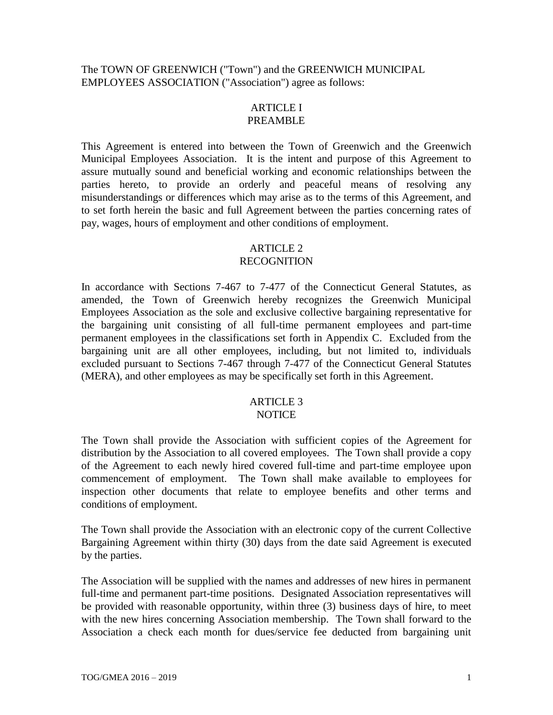The TOWN OF GREENWICH ("Town") and the GREENWICH MUNICIPAL EMPLOYEES ASSOCIATION ("Association") agree as follows:

#### ARTICLE I PREAMBLE

This Agreement is entered into between the Town of Greenwich and the Greenwich Municipal Employees Association. It is the intent and purpose of this Agreement to assure mutually sound and beneficial working and economic relationships between the parties hereto, to provide an orderly and peaceful means of resolving any misunderstandings or differences which may arise as to the terms of this Agreement, and to set forth herein the basic and full Agreement between the parties concerning rates of pay, wages, hours of employment and other conditions of employment.

# ARTICLE 2

# RECOGNITION

In accordance with Sections 7-467 to 7-477 of the Connecticut General Statutes, as amended, the Town of Greenwich hereby recognizes the Greenwich Municipal Employees Association as the sole and exclusive collective bargaining representative for the bargaining unit consisting of all full-time permanent employees and part-time permanent employees in the classifications set forth in Appendix C. Excluded from the bargaining unit are all other employees, including, but not limited to, individuals excluded pursuant to Sections 7-467 through 7-477 of the Connecticut General Statutes (MERA), and other employees as may be specifically set forth in this Agreement.

#### ARTICLE 3 NOTICE

The Town shall provide the Association with sufficient copies of the Agreement for distribution by the Association to all covered employees. The Town shall provide a copy of the Agreement to each newly hired covered full-time and part-time employee upon commencement of employment. The Town shall make available to employees for inspection other documents that relate to employee benefits and other terms and conditions of employment.

The Town shall provide the Association with an electronic copy of the current Collective Bargaining Agreement within thirty (30) days from the date said Agreement is executed by the parties.

The Association will be supplied with the names and addresses of new hires in permanent full-time and permanent part-time positions. Designated Association representatives will be provided with reasonable opportunity, within three (3) business days of hire, to meet with the new hires concerning Association membership. The Town shall forward to the Association a check each month for dues/service fee deducted from bargaining unit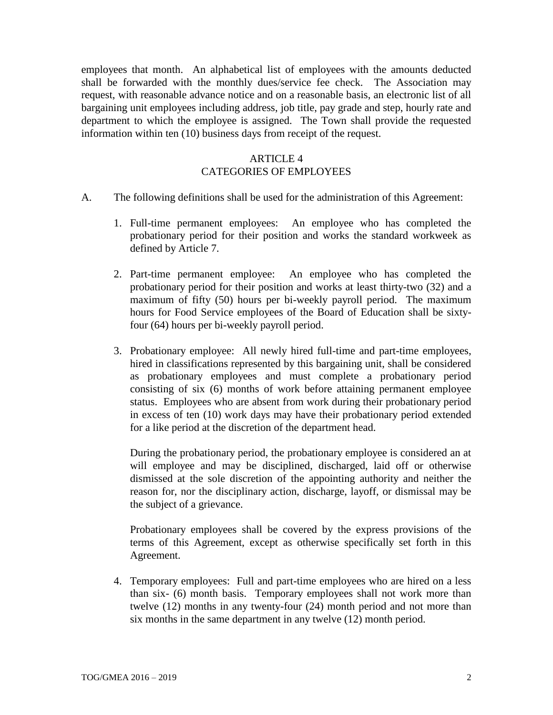employees that month. An alphabetical list of employees with the amounts deducted shall be forwarded with the monthly dues/service fee check. The Association may request, with reasonable advance notice and on a reasonable basis, an electronic list of all bargaining unit employees including address, job title, pay grade and step, hourly rate and department to which the employee is assigned. The Town shall provide the requested information within ten (10) business days from receipt of the request.

# ARTICLE 4 CATEGORIES OF EMPLOYEES

- A. The following definitions shall be used for the administration of this Agreement:
	- 1. Full-time permanent employees: An employee who has completed the probationary period for their position and works the standard workweek as defined by Article 7.
	- 2. Part-time permanent employee: An employee who has completed the probationary period for their position and works at least thirty-two (32) and a maximum of fifty (50) hours per bi-weekly payroll period. The maximum hours for Food Service employees of the Board of Education shall be sixtyfour (64) hours per bi-weekly payroll period.
	- 3. Probationary employee: All newly hired full-time and part-time employees, hired in classifications represented by this bargaining unit, shall be considered as probationary employees and must complete a probationary period consisting of six (6) months of work before attaining permanent employee status. Employees who are absent from work during their probationary period in excess of ten (10) work days may have their probationary period extended for a like period at the discretion of the department head.

During the probationary period, the probationary employee is considered an at will employee and may be disciplined, discharged, laid off or otherwise dismissed at the sole discretion of the appointing authority and neither the reason for, nor the disciplinary action, discharge, layoff, or dismissal may be the subject of a grievance.

Probationary employees shall be covered by the express provisions of the terms of this Agreement, except as otherwise specifically set forth in this Agreement.

4. Temporary employees: Full and part-time employees who are hired on a less than six- (6) month basis. Temporary employees shall not work more than twelve (12) months in any twenty-four (24) month period and not more than six months in the same department in any twelve (12) month period.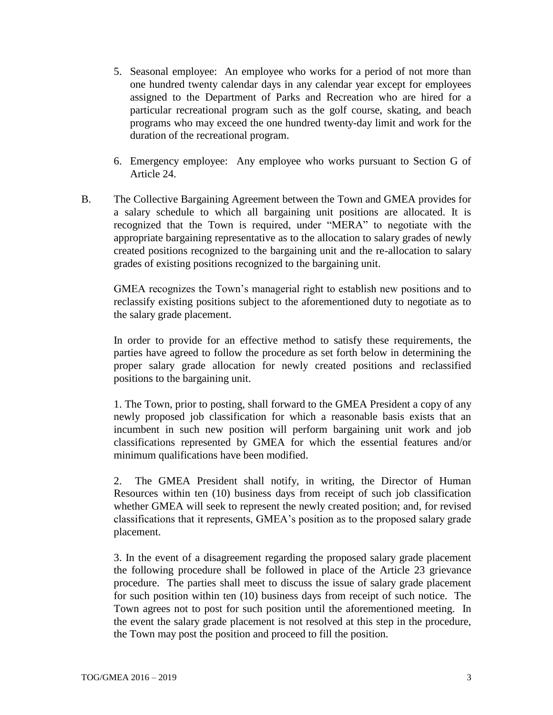- 5. Seasonal employee: An employee who works for a period of not more than one hundred twenty calendar days in any calendar year except for employees assigned to the Department of Parks and Recreation who are hired for a particular recreational program such as the golf course, skating, and beach programs who may exceed the one hundred twenty-day limit and work for the duration of the recreational program.
- 6. Emergency employee: Any employee who works pursuant to Section G of Article 24.
- B. The Collective Bargaining Agreement between the Town and GMEA provides for a salary schedule to which all bargaining unit positions are allocated. It is recognized that the Town is required, under "MERA" to negotiate with the appropriate bargaining representative as to the allocation to salary grades of newly created positions recognized to the bargaining unit and the re-allocation to salary grades of existing positions recognized to the bargaining unit.

GMEA recognizes the Town's managerial right to establish new positions and to reclassify existing positions subject to the aforementioned duty to negotiate as to the salary grade placement.

In order to provide for an effective method to satisfy these requirements, the parties have agreed to follow the procedure as set forth below in determining the proper salary grade allocation for newly created positions and reclassified positions to the bargaining unit.

1. The Town, prior to posting, shall forward to the GMEA President a copy of any newly proposed job classification for which a reasonable basis exists that an incumbent in such new position will perform bargaining unit work and job classifications represented by GMEA for which the essential features and/or minimum qualifications have been modified.

2. The GMEA President shall notify, in writing, the Director of Human Resources within ten (10) business days from receipt of such job classification whether GMEA will seek to represent the newly created position; and, for revised classifications that it represents, GMEA's position as to the proposed salary grade placement.

3. In the event of a disagreement regarding the proposed salary grade placement the following procedure shall be followed in place of the Article 23 grievance procedure. The parties shall meet to discuss the issue of salary grade placement for such position within ten (10) business days from receipt of such notice. The Town agrees not to post for such position until the aforementioned meeting. In the event the salary grade placement is not resolved at this step in the procedure, the Town may post the position and proceed to fill the position.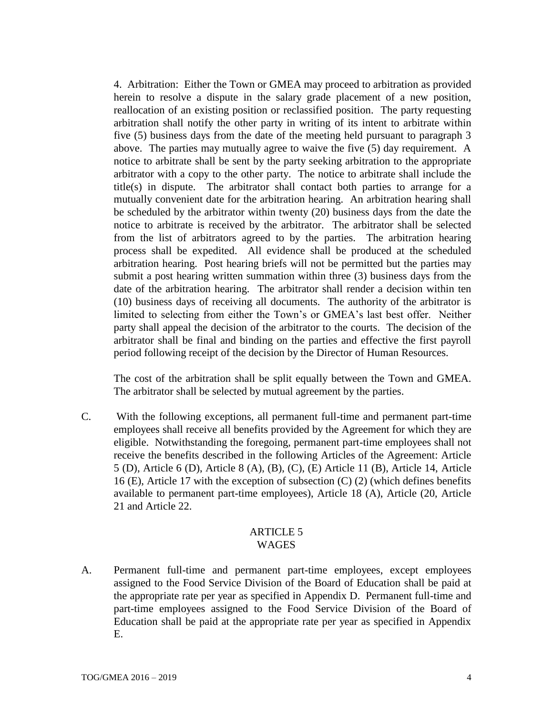4. Arbitration: Either the Town or GMEA may proceed to arbitration as provided herein to resolve a dispute in the salary grade placement of a new position, reallocation of an existing position or reclassified position. The party requesting arbitration shall notify the other party in writing of its intent to arbitrate within five (5) business days from the date of the meeting held pursuant to paragraph 3 above. The parties may mutually agree to waive the five (5) day requirement. A notice to arbitrate shall be sent by the party seeking arbitration to the appropriate arbitrator with a copy to the other party. The notice to arbitrate shall include the title(s) in dispute. The arbitrator shall contact both parties to arrange for a mutually convenient date for the arbitration hearing. An arbitration hearing shall be scheduled by the arbitrator within twenty (20) business days from the date the notice to arbitrate is received by the arbitrator. The arbitrator shall be selected from the list of arbitrators agreed to by the parties. The arbitration hearing process shall be expedited. All evidence shall be produced at the scheduled arbitration hearing. Post hearing briefs will not be permitted but the parties may submit a post hearing written summation within three (3) business days from the date of the arbitration hearing. The arbitrator shall render a decision within ten (10) business days of receiving all documents. The authority of the arbitrator is limited to selecting from either the Town's or GMEA's last best offer. Neither party shall appeal the decision of the arbitrator to the courts. The decision of the arbitrator shall be final and binding on the parties and effective the first payroll period following receipt of the decision by the Director of Human Resources.

The cost of the arbitration shall be split equally between the Town and GMEA. The arbitrator shall be selected by mutual agreement by the parties.

C. With the following exceptions, all permanent full-time and permanent part-time employees shall receive all benefits provided by the Agreement for which they are eligible. Notwithstanding the foregoing, permanent part-time employees shall not receive the benefits described in the following Articles of the Agreement: Article 5 (D), Article 6 (D), Article 8 (A), (B), (C), (E) Article 11 (B), Article 14, Article 16 (E), Article 17 with the exception of subsection (C) (2) (which defines benefits available to permanent part-time employees), Article 18 (A), Article (20, Article 21 and Article 22.

#### ARTICLE 5 WAGES

A. Permanent full-time and permanent part-time employees, except employees assigned to the Food Service Division of the Board of Education shall be paid at the appropriate rate per year as specified in Appendix D. Permanent full-time and part-time employees assigned to the Food Service Division of the Board of Education shall be paid at the appropriate rate per year as specified in Appendix E.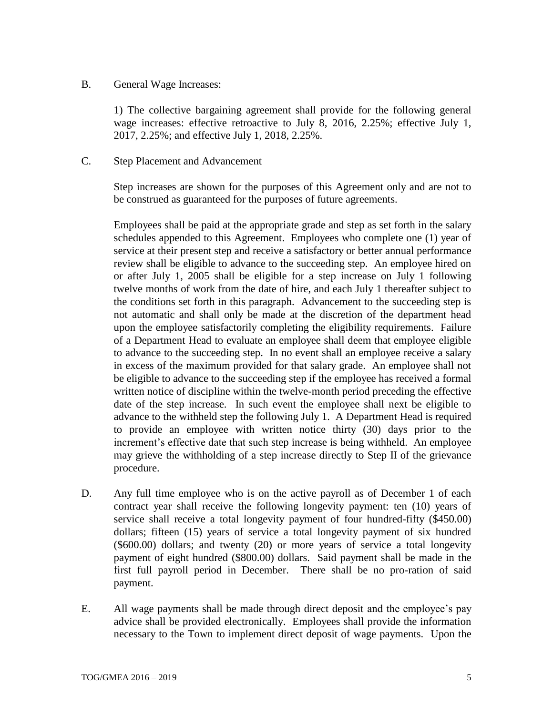#### B. General Wage Increases:

1) The collective bargaining agreement shall provide for the following general wage increases: effective retroactive to July 8, 2016, 2.25%; effective July 1, 2017, 2.25%; and effective July 1, 2018, 2.25%.

#### C. Step Placement and Advancement

Step increases are shown for the purposes of this Agreement only and are not to be construed as guaranteed for the purposes of future agreements.

Employees shall be paid at the appropriate grade and step as set forth in the salary schedules appended to this Agreement. Employees who complete one (1) year of service at their present step and receive a satisfactory or better annual performance review shall be eligible to advance to the succeeding step. An employee hired on or after July 1, 2005 shall be eligible for a step increase on July 1 following twelve months of work from the date of hire, and each July 1 thereafter subject to the conditions set forth in this paragraph. Advancement to the succeeding step is not automatic and shall only be made at the discretion of the department head upon the employee satisfactorily completing the eligibility requirements. Failure of a Department Head to evaluate an employee shall deem that employee eligible to advance to the succeeding step. In no event shall an employee receive a salary in excess of the maximum provided for that salary grade. An employee shall not be eligible to advance to the succeeding step if the employee has received a formal written notice of discipline within the twelve-month period preceding the effective date of the step increase. In such event the employee shall next be eligible to advance to the withheld step the following July 1. A Department Head is required to provide an employee with written notice thirty (30) days prior to the increment's effective date that such step increase is being withheld. An employee may grieve the withholding of a step increase directly to Step II of the grievance procedure.

- D. Any full time employee who is on the active payroll as of December 1 of each contract year shall receive the following longevity payment: ten (10) years of service shall receive a total longevity payment of four hundred-fifty (\$450.00) dollars; fifteen (15) years of service a total longevity payment of six hundred (\$600.00) dollars; and twenty (20) or more years of service a total longevity payment of eight hundred (\$800.00) dollars. Said payment shall be made in the first full payroll period in December. There shall be no pro-ration of said payment.
- E. All wage payments shall be made through direct deposit and the employee's pay advice shall be provided electronically. Employees shall provide the information necessary to the Town to implement direct deposit of wage payments. Upon the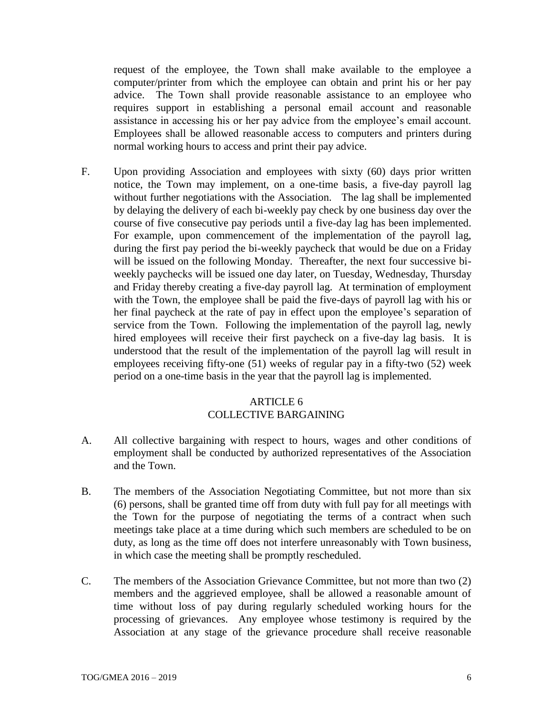request of the employee, the Town shall make available to the employee a computer/printer from which the employee can obtain and print his or her pay advice. The Town shall provide reasonable assistance to an employee who requires support in establishing a personal email account and reasonable assistance in accessing his or her pay advice from the employee's email account. Employees shall be allowed reasonable access to computers and printers during normal working hours to access and print their pay advice.

F. Upon providing Association and employees with sixty (60) days prior written notice, the Town may implement, on a one-time basis, a five-day payroll lag without further negotiations with the Association. The lag shall be implemented by delaying the delivery of each bi-weekly pay check by one business day over the course of five consecutive pay periods until a five-day lag has been implemented. For example, upon commencement of the implementation of the payroll lag, during the first pay period the bi-weekly paycheck that would be due on a Friday will be issued on the following Monday. Thereafter, the next four successive biweekly paychecks will be issued one day later, on Tuesday, Wednesday, Thursday and Friday thereby creating a five-day payroll lag. At termination of employment with the Town, the employee shall be paid the five-days of payroll lag with his or her final paycheck at the rate of pay in effect upon the employee's separation of service from the Town. Following the implementation of the payroll lag, newly hired employees will receive their first paycheck on a five-day lag basis. It is understood that the result of the implementation of the payroll lag will result in employees receiving fifty-one (51) weeks of regular pay in a fifty-two (52) week period on a one-time basis in the year that the payroll lag is implemented.

## ARTICLE 6 COLLECTIVE BARGAINING

- A. All collective bargaining with respect to hours, wages and other conditions of employment shall be conducted by authorized representatives of the Association and the Town.
- B. The members of the Association Negotiating Committee, but not more than six (6) persons, shall be granted time off from duty with full pay for all meetings with the Town for the purpose of negotiating the terms of a contract when such meetings take place at a time during which such members are scheduled to be on duty, as long as the time off does not interfere unreasonably with Town business, in which case the meeting shall be promptly rescheduled.
- C. The members of the Association Grievance Committee, but not more than two (2) members and the aggrieved employee, shall be allowed a reasonable amount of time without loss of pay during regularly scheduled working hours for the processing of grievances. Any employee whose testimony is required by the Association at any stage of the grievance procedure shall receive reasonable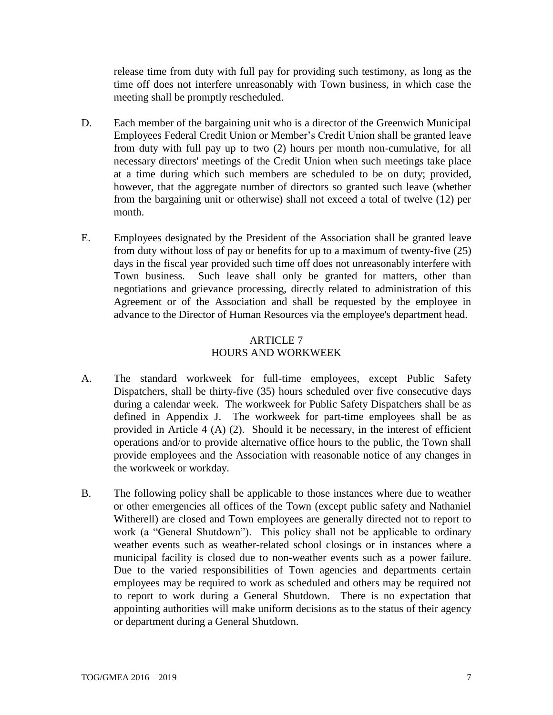release time from duty with full pay for providing such testimony, as long as the time off does not interfere unreasonably with Town business, in which case the meeting shall be promptly rescheduled.

- D. Each member of the bargaining unit who is a director of the Greenwich Municipal Employees Federal Credit Union or Member's Credit Union shall be granted leave from duty with full pay up to two (2) hours per month non-cumulative, for all necessary directors' meetings of the Credit Union when such meetings take place at a time during which such members are scheduled to be on duty; provided, however, that the aggregate number of directors so granted such leave (whether from the bargaining unit or otherwise) shall not exceed a total of twelve (12) per month.
- E. Employees designated by the President of the Association shall be granted leave from duty without loss of pay or benefits for up to a maximum of twenty-five (25) days in the fiscal year provided such time off does not unreasonably interfere with Town business. Such leave shall only be granted for matters, other than negotiations and grievance processing, directly related to administration of this Agreement or of the Association and shall be requested by the employee in advance to the Director of Human Resources via the employee's department head.

## ARTICLE 7 HOURS AND WORKWEEK

- A. The standard workweek for full-time employees, except Public Safety Dispatchers, shall be thirty-five (35) hours scheduled over five consecutive days during a calendar week. The workweek for Public Safety Dispatchers shall be as defined in Appendix J. The workweek for part-time employees shall be as provided in Article 4 (A) (2). Should it be necessary, in the interest of efficient operations and/or to provide alternative office hours to the public, the Town shall provide employees and the Association with reasonable notice of any changes in the workweek or workday.
- B. The following policy shall be applicable to those instances where due to weather or other emergencies all offices of the Town (except public safety and Nathaniel Witherell) are closed and Town employees are generally directed not to report to work (a "General Shutdown"). This policy shall not be applicable to ordinary weather events such as weather-related school closings or in instances where a municipal facility is closed due to non-weather events such as a power failure. Due to the varied responsibilities of Town agencies and departments certain employees may be required to work as scheduled and others may be required not to report to work during a General Shutdown. There is no expectation that appointing authorities will make uniform decisions as to the status of their agency or department during a General Shutdown.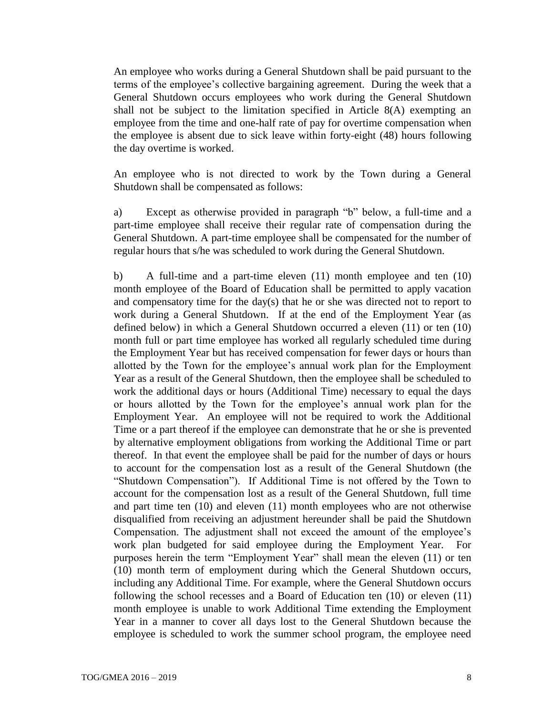An employee who works during a General Shutdown shall be paid pursuant to the terms of the employee's collective bargaining agreement. During the week that a General Shutdown occurs employees who work during the General Shutdown shall not be subject to the limitation specified in Article 8(A) exempting an employee from the time and one-half rate of pay for overtime compensation when the employee is absent due to sick leave within forty-eight (48) hours following the day overtime is worked.

An employee who is not directed to work by the Town during a General Shutdown shall be compensated as follows:

a) Except as otherwise provided in paragraph "b" below, a full-time and a part-time employee shall receive their regular rate of compensation during the General Shutdown. A part-time employee shall be compensated for the number of regular hours that s/he was scheduled to work during the General Shutdown.

b) A full-time and a part-time eleven (11) month employee and ten (10) month employee of the Board of Education shall be permitted to apply vacation and compensatory time for the day(s) that he or she was directed not to report to work during a General Shutdown. If at the end of the Employment Year (as defined below) in which a General Shutdown occurred a eleven (11) or ten (10) month full or part time employee has worked all regularly scheduled time during the Employment Year but has received compensation for fewer days or hours than allotted by the Town for the employee's annual work plan for the Employment Year as a result of the General Shutdown, then the employee shall be scheduled to work the additional days or hours (Additional Time) necessary to equal the days or hours allotted by the Town for the employee's annual work plan for the Employment Year. An employee will not be required to work the Additional Time or a part thereof if the employee can demonstrate that he or she is prevented by alternative employment obligations from working the Additional Time or part thereof. In that event the employee shall be paid for the number of days or hours to account for the compensation lost as a result of the General Shutdown (the "Shutdown Compensation"). If Additional Time is not offered by the Town to account for the compensation lost as a result of the General Shutdown, full time and part time ten (10) and eleven (11) month employees who are not otherwise disqualified from receiving an adjustment hereunder shall be paid the Shutdown Compensation. The adjustment shall not exceed the amount of the employee's work plan budgeted for said employee during the Employment Year. For purposes herein the term "Employment Year" shall mean the eleven (11) or ten (10) month term of employment during which the General Shutdown occurs, including any Additional Time. For example, where the General Shutdown occurs following the school recesses and a Board of Education ten (10) or eleven (11) month employee is unable to work Additional Time extending the Employment Year in a manner to cover all days lost to the General Shutdown because the employee is scheduled to work the summer school program, the employee need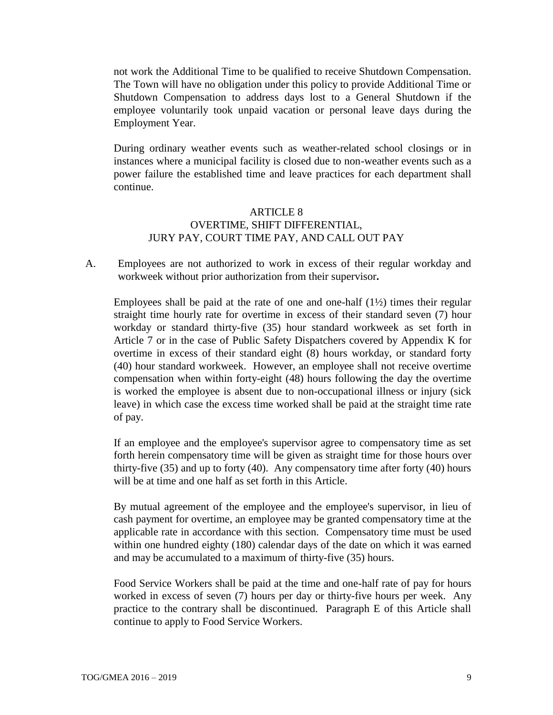not work the Additional Time to be qualified to receive Shutdown Compensation. The Town will have no obligation under this policy to provide Additional Time or Shutdown Compensation to address days lost to a General Shutdown if the employee voluntarily took unpaid vacation or personal leave days during the Employment Year.

During ordinary weather events such as weather-related school closings or in instances where a municipal facility is closed due to non-weather events such as a power failure the established time and leave practices for each department shall continue.

## ARTICLE 8 OVERTIME, SHIFT DIFFERENTIAL, JURY PAY, COURT TIME PAY, AND CALL OUT PAY

A. Employees are not authorized to work in excess of their regular workday and workweek without prior authorization from their supervisor**.** 

Employees shall be paid at the rate of one and one-half  $(1\frac{1}{2})$  times their regular straight time hourly rate for overtime in excess of their standard seven (7) hour workday or standard thirty-five (35) hour standard workweek as set forth in Article 7 or in the case of Public Safety Dispatchers covered by Appendix K for overtime in excess of their standard eight (8) hours workday, or standard forty (40) hour standard workweek. However, an employee shall not receive overtime compensation when within forty-eight (48) hours following the day the overtime is worked the employee is absent due to non-occupational illness or injury (sick leave) in which case the excess time worked shall be paid at the straight time rate of pay.

If an employee and the employee's supervisor agree to compensatory time as set forth herein compensatory time will be given as straight time for those hours over thirty-five (35) and up to forty (40). Any compensatory time after forty (40) hours will be at time and one half as set forth in this Article.

By mutual agreement of the employee and the employee's supervisor, in lieu of cash payment for overtime, an employee may be granted compensatory time at the applicable rate in accordance with this section. Compensatory time must be used within one hundred eighty (180) calendar days of the date on which it was earned and may be accumulated to a maximum of thirty-five (35) hours.

Food Service Workers shall be paid at the time and one-half rate of pay for hours worked in excess of seven (7) hours per day or thirty-five hours per week. Any practice to the contrary shall be discontinued. Paragraph E of this Article shall continue to apply to Food Service Workers.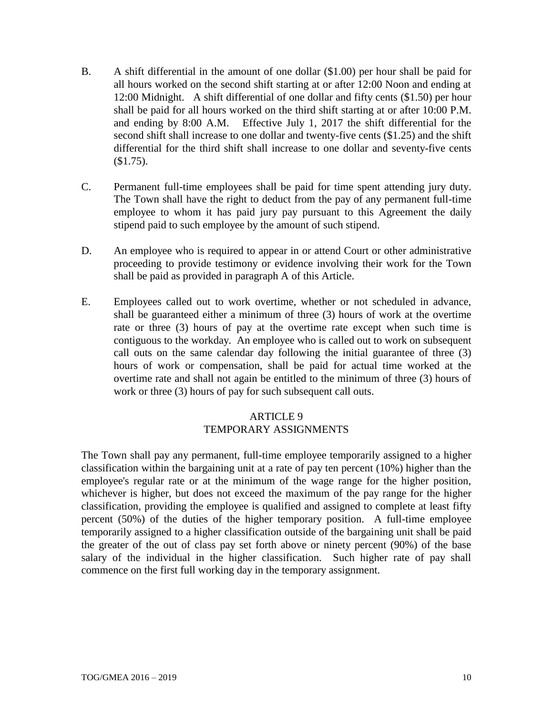- B. A shift differential in the amount of one dollar (\$1.00) per hour shall be paid for all hours worked on the second shift starting at or after 12:00 Noon and ending at 12:00 Midnight. A shift differential of one dollar and fifty cents (\$1.50) per hour shall be paid for all hours worked on the third shift starting at or after 10:00 P.M. and ending by 8:00 A.M. Effective July 1, 2017 the shift differential for the second shift shall increase to one dollar and twenty-five cents (\$1.25) and the shift differential for the third shift shall increase to one dollar and seventy-five cents  $$1.75$ ).
- C. Permanent full-time employees shall be paid for time spent attending jury duty. The Town shall have the right to deduct from the pay of any permanent full-time employee to whom it has paid jury pay pursuant to this Agreement the daily stipend paid to such employee by the amount of such stipend.
- D. An employee who is required to appear in or attend Court or other administrative proceeding to provide testimony or evidence involving their work for the Town shall be paid as provided in paragraph A of this Article.
- E. Employees called out to work overtime, whether or not scheduled in advance, shall be guaranteed either a minimum of three (3) hours of work at the overtime rate or three (3) hours of pay at the overtime rate except when such time is contiguous to the workday. An employee who is called out to work on subsequent call outs on the same calendar day following the initial guarantee of three (3) hours of work or compensation, shall be paid for actual time worked at the overtime rate and shall not again be entitled to the minimum of three (3) hours of work or three (3) hours of pay for such subsequent call outs.

# ARTICLE 9 TEMPORARY ASSIGNMENTS

The Town shall pay any permanent, full-time employee temporarily assigned to a higher classification within the bargaining unit at a rate of pay ten percent (10%) higher than the employee's regular rate or at the minimum of the wage range for the higher position, whichever is higher, but does not exceed the maximum of the pay range for the higher classification, providing the employee is qualified and assigned to complete at least fifty percent (50%) of the duties of the higher temporary position. A full-time employee temporarily assigned to a higher classification outside of the bargaining unit shall be paid the greater of the out of class pay set forth above or ninety percent (90%) of the base salary of the individual in the higher classification. Such higher rate of pay shall commence on the first full working day in the temporary assignment.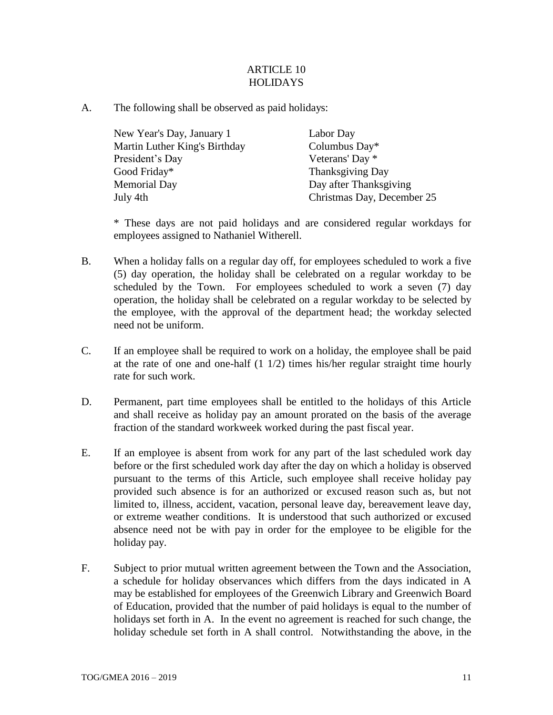## ARTICLE 10 HOLIDAYS

A. The following shall be observed as paid holidays:

| New Year's Day, January 1     | Labor Day                  |
|-------------------------------|----------------------------|
| Martin Luther King's Birthday | Columbus Day*              |
| President's Day               | Veterans' Day *            |
| Good Friday*                  | <b>Thanksgiving Day</b>    |
| <b>Memorial Day</b>           | Day after Thanksgiving     |
| July 4th                      | Christmas Day, December 25 |

\* These days are not paid holidays and are considered regular workdays for employees assigned to Nathaniel Witherell.

- B. When a holiday falls on a regular day off, for employees scheduled to work a five (5) day operation, the holiday shall be celebrated on a regular workday to be scheduled by the Town. For employees scheduled to work a seven (7) day operation, the holiday shall be celebrated on a regular workday to be selected by the employee, with the approval of the department head; the workday selected need not be uniform.
- C. If an employee shall be required to work on a holiday, the employee shall be paid at the rate of one and one-half (1 1/2) times his/her regular straight time hourly rate for such work.
- D. Permanent, part time employees shall be entitled to the holidays of this Article and shall receive as holiday pay an amount prorated on the basis of the average fraction of the standard workweek worked during the past fiscal year.
- E. If an employee is absent from work for any part of the last scheduled work day before or the first scheduled work day after the day on which a holiday is observed pursuant to the terms of this Article, such employee shall receive holiday pay provided such absence is for an authorized or excused reason such as, but not limited to, illness, accident, vacation, personal leave day, bereavement leave day, or extreme weather conditions. It is understood that such authorized or excused absence need not be with pay in order for the employee to be eligible for the holiday pay.
- F. Subject to prior mutual written agreement between the Town and the Association, a schedule for holiday observances which differs from the days indicated in A may be established for employees of the Greenwich Library and Greenwich Board of Education, provided that the number of paid holidays is equal to the number of holidays set forth in A. In the event no agreement is reached for such change, the holiday schedule set forth in A shall control. Notwithstanding the above, in the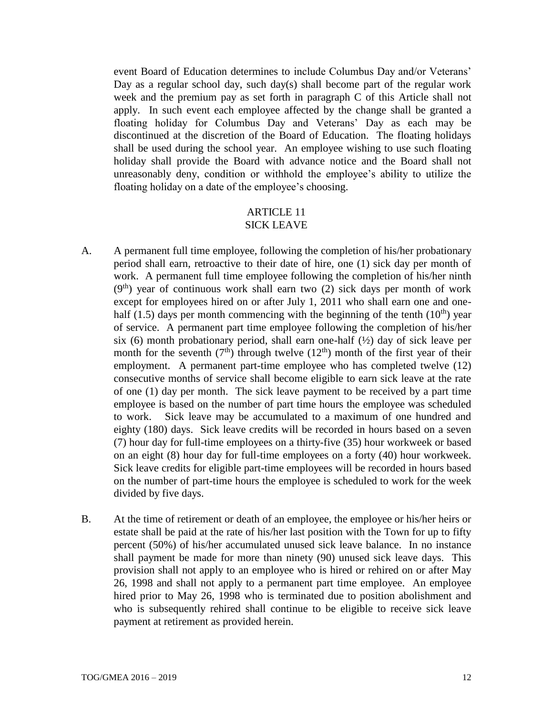event Board of Education determines to include Columbus Day and/or Veterans' Day as a regular school day, such day(s) shall become part of the regular work week and the premium pay as set forth in paragraph C of this Article shall not apply. In such event each employee affected by the change shall be granted a floating holiday for Columbus Day and Veterans' Day as each may be discontinued at the discretion of the Board of Education. The floating holidays shall be used during the school year. An employee wishing to use such floating holiday shall provide the Board with advance notice and the Board shall not unreasonably deny, condition or withhold the employee's ability to utilize the floating holiday on a date of the employee's choosing.

# ARTICLE 11

- SICK LEAVE
- A. A permanent full time employee, following the completion of his/her probationary period shall earn, retroactive to their date of hire, one (1) sick day per month of work. A permanent full time employee following the completion of his/her ninth  $(9<sup>th</sup>)$  year of continuous work shall earn two (2) sick days per month of work except for employees hired on or after July 1, 2011 who shall earn one and onehalf (1.5) days per month commencing with the beginning of the tenth (10<sup>th</sup>) year of service. A permanent part time employee following the completion of his/her six (6) month probationary period, shall earn one-half  $(\frac{1}{2})$  day of sick leave per month for the seventh  $(7<sup>th</sup>)$  through twelve  $(12<sup>th</sup>)$  month of the first year of their employment. A permanent part-time employee who has completed twelve (12) consecutive months of service shall become eligible to earn sick leave at the rate of one (1) day per month. The sick leave payment to be received by a part time employee is based on the number of part time hours the employee was scheduled to work. Sick leave may be accumulated to a maximum of one hundred and eighty (180) days. Sick leave credits will be recorded in hours based on a seven (7) hour day for full-time employees on a thirty-five (35) hour workweek or based on an eight (8) hour day for full-time employees on a forty (40) hour workweek. Sick leave credits for eligible part-time employees will be recorded in hours based on the number of part-time hours the employee is scheduled to work for the week divided by five days.
- B. At the time of retirement or death of an employee, the employee or his/her heirs or estate shall be paid at the rate of his/her last position with the Town for up to fifty percent (50%) of his/her accumulated unused sick leave balance. In no instance shall payment be made for more than ninety (90) unused sick leave days. This provision shall not apply to an employee who is hired or rehired on or after May 26, 1998 and shall not apply to a permanent part time employee. An employee hired prior to May 26, 1998 who is terminated due to position abolishment and who is subsequently rehired shall continue to be eligible to receive sick leave payment at retirement as provided herein.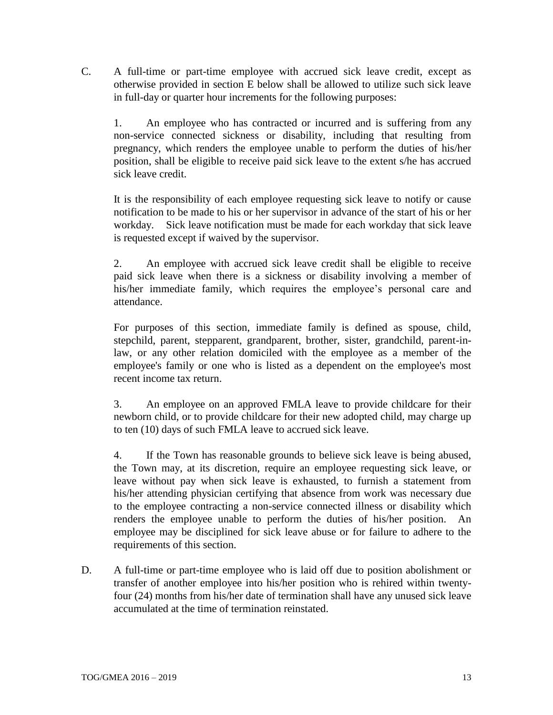C. A full-time or part-time employee with accrued sick leave credit, except as otherwise provided in section E below shall be allowed to utilize such sick leave in full-day or quarter hour increments for the following purposes:

1. An employee who has contracted or incurred and is suffering from any non-service connected sickness or disability, including that resulting from pregnancy, which renders the employee unable to perform the duties of his/her position, shall be eligible to receive paid sick leave to the extent s/he has accrued sick leave credit.

It is the responsibility of each employee requesting sick leave to notify or cause notification to be made to his or her supervisor in advance of the start of his or her workday. Sick leave notification must be made for each workday that sick leave is requested except if waived by the supervisor.

2. An employee with accrued sick leave credit shall be eligible to receive paid sick leave when there is a sickness or disability involving a member of his/her immediate family, which requires the employee's personal care and attendance.

For purposes of this section, immediate family is defined as spouse, child, stepchild, parent, stepparent, grandparent, brother, sister, grandchild, parent-inlaw, or any other relation domiciled with the employee as a member of the employee's family or one who is listed as a dependent on the employee's most recent income tax return.

3. An employee on an approved FMLA leave to provide childcare for their newborn child, or to provide childcare for their new adopted child, may charge up to ten (10) days of such FMLA leave to accrued sick leave.

4. If the Town has reasonable grounds to believe sick leave is being abused, the Town may, at its discretion, require an employee requesting sick leave, or leave without pay when sick leave is exhausted, to furnish a statement from his/her attending physician certifying that absence from work was necessary due to the employee contracting a non-service connected illness or disability which renders the employee unable to perform the duties of his/her position. An employee may be disciplined for sick leave abuse or for failure to adhere to the requirements of this section.

D. A full-time or part-time employee who is laid off due to position abolishment or transfer of another employee into his/her position who is rehired within twentyfour (24) months from his/her date of termination shall have any unused sick leave accumulated at the time of termination reinstated.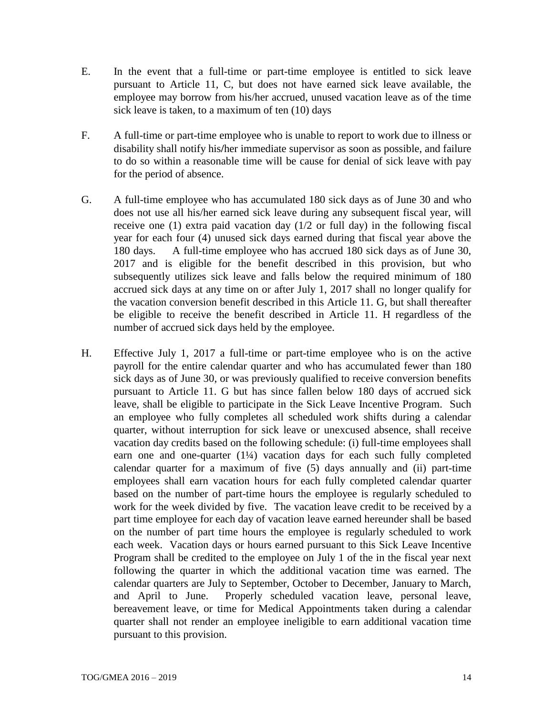- E. In the event that a full-time or part-time employee is entitled to sick leave pursuant to Article 11, C, but does not have earned sick leave available, the employee may borrow from his/her accrued, unused vacation leave as of the time sick leave is taken, to a maximum of ten (10) days
- F. A full-time or part-time employee who is unable to report to work due to illness or disability shall notify his**/**her immediate supervisor as soon as possible, and failure to do so within a reasonable time will be cause for denial of sick leave with pay for the period of absence.
- G. A full-time employee who has accumulated 180 sick days as of June 30 and who does not use all his/her earned sick leave during any subsequent fiscal year, will receive one (1) extra paid vacation day (1/2 or full day) in the following fiscal year for each four (4) unused sick days earned during that fiscal year above the 180 days. A full-time employee who has accrued 180 sick days as of June 30, 2017 and is eligible for the benefit described in this provision, but who subsequently utilizes sick leave and falls below the required minimum of 180 accrued sick days at any time on or after July 1, 2017 shall no longer qualify for the vacation conversion benefit described in this Article 11. G, but shall thereafter be eligible to receive the benefit described in Article 11. H regardless of the number of accrued sick days held by the employee.
- H. Effective July 1, 2017 a full-time or part-time employee who is on the active payroll for the entire calendar quarter and who has accumulated fewer than 180 sick days as of June 30, or was previously qualified to receive conversion benefits pursuant to Article 11. G but has since fallen below 180 days of accrued sick leave, shall be eligible to participate in the Sick Leave Incentive Program. Such an employee who fully completes all scheduled work shifts during a calendar quarter, without interruption for sick leave or unexcused absence, shall receive vacation day credits based on the following schedule: (i) full-time employees shall earn one and one-quarter  $(1\frac{1}{4})$  vacation days for each such fully completed calendar quarter for a maximum of five (5) days annually and (ii) part-time employees shall earn vacation hours for each fully completed calendar quarter based on the number of part-time hours the employee is regularly scheduled to work for the week divided by five. The vacation leave credit to be received by a part time employee for each day of vacation leave earned hereunder shall be based on the number of part time hours the employee is regularly scheduled to work each week. Vacation days or hours earned pursuant to this Sick Leave Incentive Program shall be credited to the employee on July 1 of the in the fiscal year next following the quarter in which the additional vacation time was earned. The calendar quarters are July to September, October to December, January to March, and April to June. Properly scheduled vacation leave, personal leave, bereavement leave, or time for Medical Appointments taken during a calendar quarter shall not render an employee ineligible to earn additional vacation time pursuant to this provision.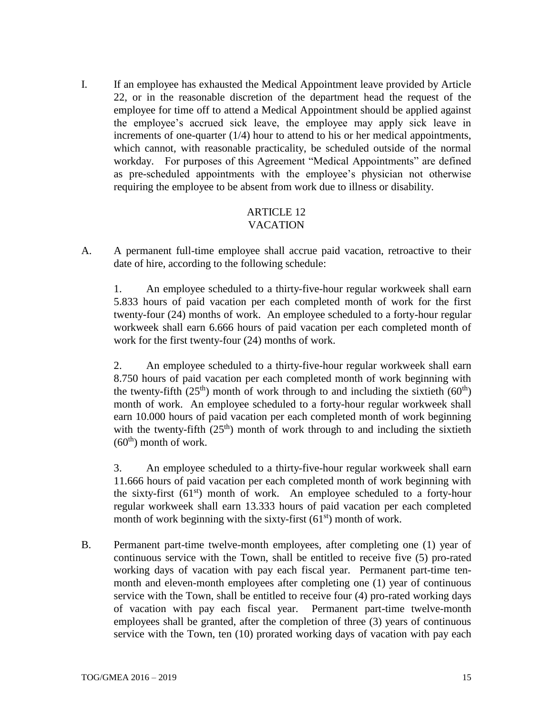I. If an employee has exhausted the Medical Appointment leave provided by Article 22, or in the reasonable discretion of the department head the request of the employee for time off to attend a Medical Appointment should be applied against the employee's accrued sick leave, the employee may apply sick leave in increments of one-quarter (1/4) hour to attend to his or her medical appointments, which cannot, with reasonable practicality, be scheduled outside of the normal workday. For purposes of this Agreement "Medical Appointments" are defined as pre-scheduled appointments with the employee's physician not otherwise requiring the employee to be absent from work due to illness or disability.

#### ARTICLE 12 VACATION

A. A permanent full-time employee shall accrue paid vacation, retroactive to their date of hire, according to the following schedule:

1. An employee scheduled to a thirty-five-hour regular workweek shall earn 5.833 hours of paid vacation per each completed month of work for the first twenty-four (24) months of work. An employee scheduled to a forty-hour regular workweek shall earn 6.666 hours of paid vacation per each completed month of work for the first twenty-four (24) months of work.

2. An employee scheduled to a thirty-five-hour regular workweek shall earn 8.750 hours of paid vacation per each completed month of work beginning with the twenty-fifth  $(25<sup>th</sup>)$  month of work through to and including the sixtieth  $(60<sup>th</sup>)$ month of work. An employee scheduled to a forty-hour regular workweek shall earn 10.000 hours of paid vacation per each completed month of work beginning with the twenty-fifth  $(25<sup>th</sup>)$  month of work through to and including the sixtieth  $(60<sup>th</sup>)$  month of work.

3. An employee scheduled to a thirty-five-hour regular workweek shall earn 11.666 hours of paid vacation per each completed month of work beginning with the sixty-first  $(61<sup>st</sup>)$  month of work. An employee scheduled to a forty-hour regular workweek shall earn 13.333 hours of paid vacation per each completed month of work beginning with the sixty-first  $(61<sup>st</sup>)$  month of work.

B. Permanent part-time twelve-month employees, after completing one (1) year of continuous service with the Town, shall be entitled to receive five (5) pro-rated working days of vacation with pay each fiscal year.Permanent part-time tenmonth and eleven-month employees after completing one (1) year of continuous service with the Town, shall be entitled to receive four (4) pro-rated working days of vacation with pay each fiscal year. Permanent part-time twelve-month employees shall be granted, after the completion of three (3) years of continuous service with the Town, ten (10) prorated working days of vacation with pay each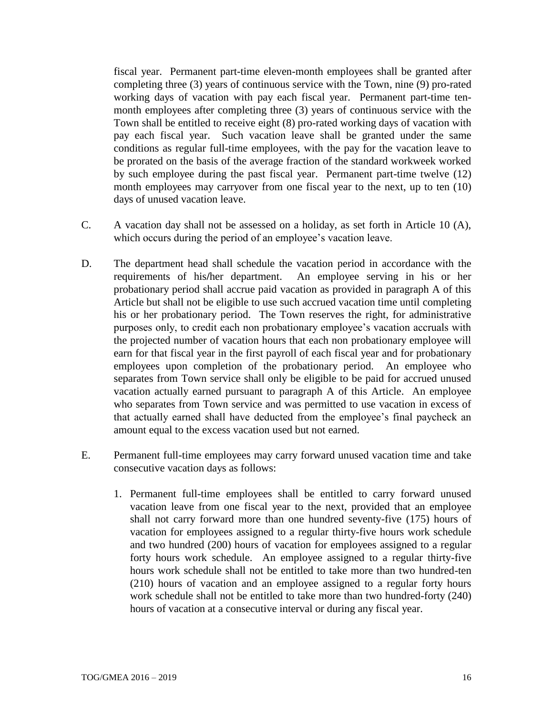fiscal year.Permanent part-time eleven-month employees shall be granted after completing three (3) years of continuous service with the Town, nine (9) pro-rated working days of vacation with pay each fiscal year. Permanent part-time tenmonth employees after completing three (3) years of continuous service with the Town shall be entitled to receive eight (8) pro-rated working days of vacation with pay each fiscal year. Such vacation leave shall be granted under the same conditions as regular full-time employees, with the pay for the vacation leave to be prorated on the basis of the average fraction of the standard workweek worked by such employee during the past fiscal year. Permanent part-time twelve (12) month employees may carryover from one fiscal year to the next, up to ten (10) days of unused vacation leave.

- C. A vacation day shall not be assessed on a holiday, as set forth in Article 10 (A), which occurs during the period of an employee's vacation leave.
- D. The department head shall schedule the vacation period in accordance with the requirements of his**/**her department. An employee serving in his or her probationary period shall accrue paid vacation as provided in paragraph A of this Article but shall not be eligible to use such accrued vacation time until completing his or her probationary period. The Town reserves the right, for administrative purposes only, to credit each non probationary employee's vacation accruals with the projected number of vacation hours that each non probationary employee will earn for that fiscal year in the first payroll of each fiscal year and for probationary employees upon completion of the probationary period. An employee who separates from Town service shall only be eligible to be paid for accrued unused vacation actually earned pursuant to paragraph A of this Article. An employee who separates from Town service and was permitted to use vacation in excess of that actually earned shall have deducted from the employee's final paycheck an amount equal to the excess vacation used but not earned.
- E. Permanent full-time employees may carry forward unused vacation time and take consecutive vacation days as follows:
	- 1. Permanent full-time employees shall be entitled to carry forward unused vacation leave from one fiscal year to the next, provided that an employee shall not carry forward more than one hundred seventy-five (175) hours of vacation for employees assigned to a regular thirty-five hours work schedule and two hundred (200) hours of vacation for employees assigned to a regular forty hours work schedule. An employee assigned to a regular thirty-five hours work schedule shall not be entitled to take more than two hundred-ten (210) hours of vacation and an employee assigned to a regular forty hours work schedule shall not be entitled to take more than two hundred-forty (240) hours of vacation at a consecutive interval or during any fiscal year.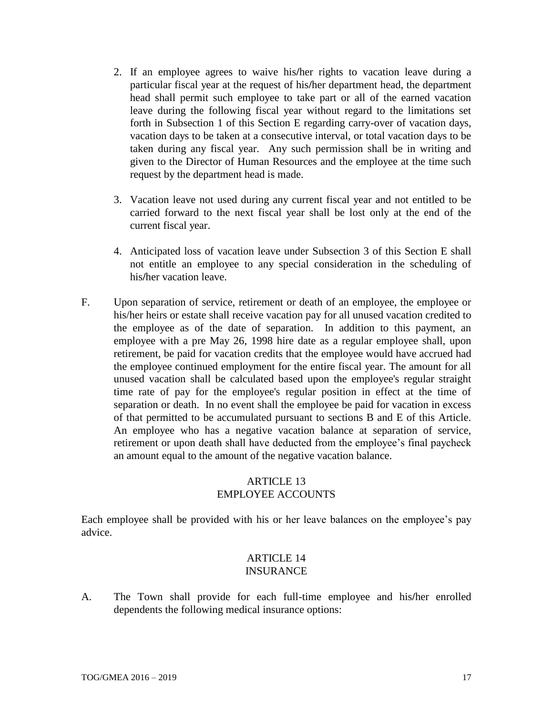- 2. If an employee agrees to waive his**/**her rights to vacation leave during a particular fiscal year at the request of his**/**her department head, the department head shall permit such employee to take part or all of the earned vacation leave during the following fiscal year without regard to the limitations set forth in Subsection 1 of this Section E regarding carry-over of vacation days, vacation days to be taken at a consecutive interval, or total vacation days to be taken during any fiscal year. Any such permission shall be in writing and given to the Director of Human Resources and the employee at the time such request by the department head is made.
- 3. Vacation leave not used during any current fiscal year and not entitled to be carried forward to the next fiscal year shall be lost only at the end of the current fiscal year.
- 4. Anticipated loss of vacation leave under Subsection 3 of this Section E shall not entitle an employee to any special consideration in the scheduling of his**/**her vacation leave.
- F. Upon separation of service, retirement or death of an employee, the employee or his/her heirs or estate shall receive vacation pay for all unused vacation credited to the employee as of the date of separation. In addition to this payment, an employee with a pre May 26, 1998 hire date as a regular employee shall, upon retirement, be paid for vacation credits that the employee would have accrued had the employee continued employment for the entire fiscal year. The amount for all unused vacation shall be calculated based upon the employee's regular straight time rate of pay for the employee's regular position in effect at the time of separation or death. In no event shall the employee be paid for vacation in excess of that permitted to be accumulated pursuant to sections B and E of this Article. An employee who has a negative vacation balance at separation of service, retirement or upon death shall have deducted from the employee's final paycheck an amount equal to the amount of the negative vacation balance.

### ARTICLE 13 EMPLOYEE ACCOUNTS

Each employee shall be provided with his or her leave balances on the employee's pay advice.

#### ARTICLE 14 INSURANCE

A. The Town shall provide for each full-time employee and his**/**her enrolled dependents the following medical insurance options: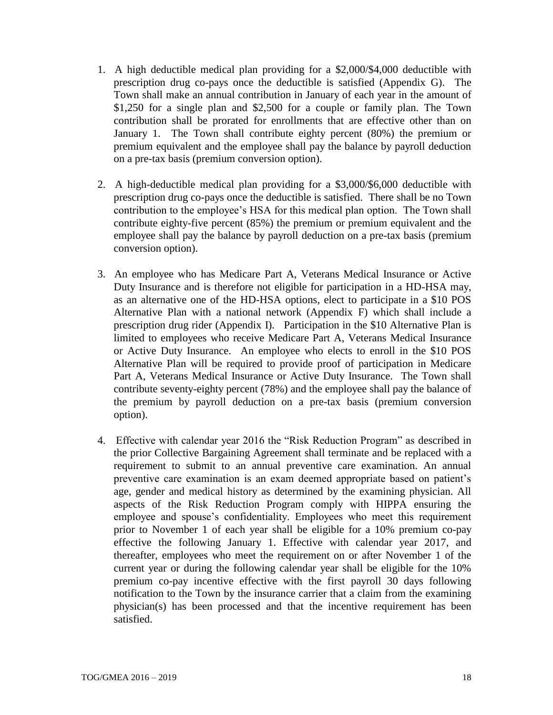- 1. A high deductible medical plan providing for a \$2,000/\$4,000 deductible with prescription drug co-pays once the deductible is satisfied (Appendix G). The Town shall make an annual contribution in January of each year in the amount of \$1,250 for a single plan and \$2,500 for a couple or family plan. The Town contribution shall be prorated for enrollments that are effective other than on January 1. The Town shall contribute eighty percent (80%) the premium or premium equivalent and the employee shall pay the balance by payroll deduction on a pre-tax basis (premium conversion option).
- 2. A high-deductible medical plan providing for a \$3,000/\$6,000 deductible with prescription drug co-pays once the deductible is satisfied. There shall be no Town contribution to the employee's HSA for this medical plan option. The Town shall contribute eighty-five percent (85%) the premium or premium equivalent and the employee shall pay the balance by payroll deduction on a pre-tax basis (premium conversion option).
- 3. An employee who has Medicare Part A, Veterans Medical Insurance or Active Duty Insurance and is therefore not eligible for participation in a HD-HSA may, as an alternative one of the HD-HSA options, elect to participate in a \$10 POS Alternative Plan with a national network (Appendix F) which shall include a prescription drug rider (Appendix I). Participation in the \$10 Alternative Plan is limited to employees who receive Medicare Part A, Veterans Medical Insurance or Active Duty Insurance. An employee who elects to enroll in the \$10 POS Alternative Plan will be required to provide proof of participation in Medicare Part A, Veterans Medical Insurance or Active Duty Insurance. The Town shall contribute seventy-eighty percent (78%) and the employee shall pay the balance of the premium by payroll deduction on a pre-tax basis (premium conversion option).
- 4. Effective with calendar year 2016 the "Risk Reduction Program" as described in the prior Collective Bargaining Agreement shall terminate and be replaced with a requirement to submit to an annual preventive care examination. An annual preventive care examination is an exam deemed appropriate based on patient's age, gender and medical history as determined by the examining physician. All aspects of the Risk Reduction Program comply with HIPPA ensuring the employee and spouse's confidentiality. Employees who meet this requirement prior to November 1 of each year shall be eligible for a 10% premium co-pay effective the following January 1. Effective with calendar year 2017, and thereafter, employees who meet the requirement on or after November 1 of the current year or during the following calendar year shall be eligible for the 10% premium co-pay incentive effective with the first payroll 30 days following notification to the Town by the insurance carrier that a claim from the examining physician(s) has been processed and that the incentive requirement has been satisfied.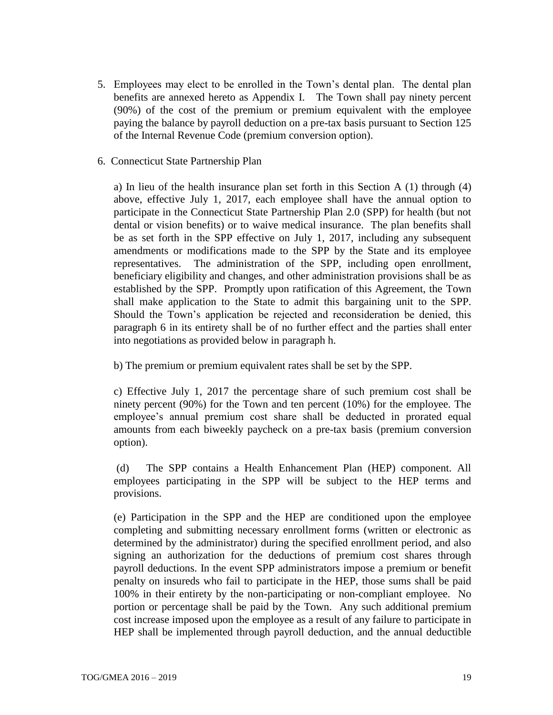5. Employees may elect to be enrolled in the Town's dental plan. The dental plan benefits are annexed hereto as Appendix I. The Town shall pay ninety percent (90%) of the cost of the premium or premium equivalent with the employee paying the balance by payroll deduction on a pre-tax basis pursuant to Section 125 of the Internal Revenue Code (premium conversion option).

#### 6. Connecticut State Partnership Plan

a) In lieu of the health insurance plan set forth in this Section A (1) through (4) above, effective July 1, 2017, each employee shall have the annual option to participate in the Connecticut State Partnership Plan 2.0 (SPP) for health (but not dental or vision benefits) or to waive medical insurance. The plan benefits shall be as set forth in the SPP effective on July 1, 2017, including any subsequent amendments or modifications made to the SPP by the State and its employee representatives. The administration of the SPP, including open enrollment, beneficiary eligibility and changes, and other administration provisions shall be as established by the SPP. Promptly upon ratification of this Agreement, the Town shall make application to the State to admit this bargaining unit to the SPP. Should the Town's application be rejected and reconsideration be denied, this paragraph 6 in its entirety shall be of no further effect and the parties shall enter into negotiations as provided below in paragraph h.

b) The premium or premium equivalent rates shall be set by the SPP.

c) Effective July 1, 2017 the percentage share of such premium cost shall be ninety percent (90%) for the Town and ten percent (10%) for the employee. The employee's annual premium cost share shall be deducted in prorated equal amounts from each biweekly paycheck on a pre-tax basis (premium conversion option).

(d) The SPP contains a Health Enhancement Plan (HEP) component. All employees participating in the SPP will be subject to the HEP terms and provisions.

(e) Participation in the SPP and the HEP are conditioned upon the employee completing and submitting necessary enrollment forms (written or electronic as determined by the administrator) during the specified enrollment period, and also signing an authorization for the deductions of premium cost shares through payroll deductions. In the event SPP administrators impose a premium or benefit penalty on insureds who fail to participate in the HEP, those sums shall be paid 100% in their entirety by the non-participating or non-compliant employee. No portion or percentage shall be paid by the Town. Any such additional premium cost increase imposed upon the employee as a result of any failure to participate in HEP shall be implemented through payroll deduction, and the annual deductible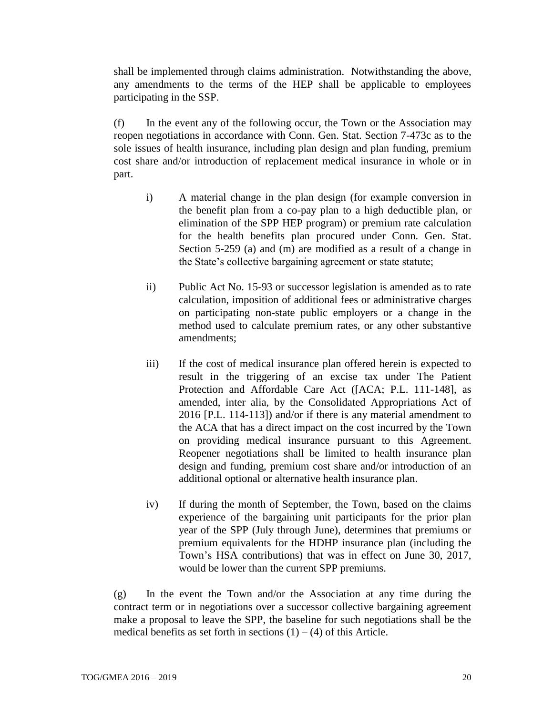shall be implemented through claims administration. Notwithstanding the above, any amendments to the terms of the HEP shall be applicable to employees participating in the SSP.

(f) In the event any of the following occur, the Town or the Association may reopen negotiations in accordance with Conn. Gen. Stat. Section 7-473c as to the sole issues of health insurance, including plan design and plan funding, premium cost share and/or introduction of replacement medical insurance in whole or in part.

- i) A material change in the plan design (for example conversion in the benefit plan from a co-pay plan to a high deductible plan, or elimination of the SPP HEP program) or premium rate calculation for the health benefits plan procured under Conn. Gen. Stat. Section 5-259 (a) and (m) are modified as a result of a change in the State's collective bargaining agreement or state statute;
- ii) Public Act No. 15-93 or successor legislation is amended as to rate calculation, imposition of additional fees or administrative charges on participating non-state public employers or a change in the method used to calculate premium rates, or any other substantive amendments;
- iii) If the cost of medical insurance plan offered herein is expected to result in the triggering of an excise tax under The Patient Protection and Affordable Care Act ([ACA; P.L. 111-148], as amended, inter alia, by the Consolidated Appropriations Act of 2016 [P.L. 114-113]) and/or if there is any material amendment to the ACA that has a direct impact on the cost incurred by the Town on providing medical insurance pursuant to this Agreement. Reopener negotiations shall be limited to health insurance plan design and funding, premium cost share and/or introduction of an additional optional or alternative health insurance plan.
- iv) If during the month of September, the Town, based on the claims experience of the bargaining unit participants for the prior plan year of the SPP (July through June), determines that premiums or premium equivalents for the HDHP insurance plan (including the Town's HSA contributions) that was in effect on June 30, 2017, would be lower than the current SPP premiums.

(g) In the event the Town and/or the Association at any time during the contract term or in negotiations over a successor collective bargaining agreement make a proposal to leave the SPP, the baseline for such negotiations shall be the medical benefits as set forth in sections  $(1) - (4)$  of this Article.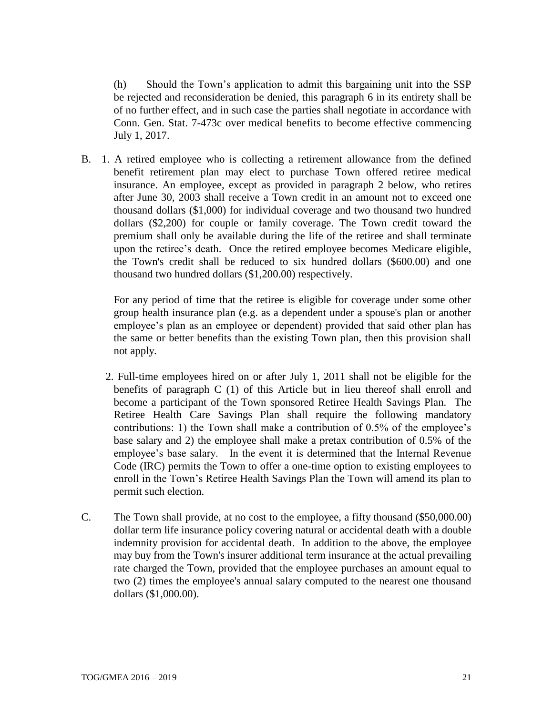(h) Should the Town's application to admit this bargaining unit into the SSP be rejected and reconsideration be denied, this paragraph 6 in its entirety shall be of no further effect, and in such case the parties shall negotiate in accordance with Conn. Gen. Stat. 7-473c over medical benefits to become effective commencing July 1, 2017.

B. 1. A retired employee who is collecting a retirement allowance from the defined benefit retirement plan may elect to purchase Town offered retiree medical insurance. An employee, except as provided in paragraph 2 below, who retires after June 30, 2003 shall receive a Town credit in an amount not to exceed one thousand dollars (\$1,000) for individual coverage and two thousand two hundred dollars (\$2,200) for couple or family coverage. The Town credit toward the premium shall only be available during the life of the retiree and shall terminate upon the retiree's death. Once the retired employee becomes Medicare eligible, the Town's credit shall be reduced to six hundred dollars (\$600.00) and one thousand two hundred dollars (\$1,200.00) respectively.

For any period of time that the retiree is eligible for coverage under some other group health insurance plan (e.g. as a dependent under a spouse's plan or another employee's plan as an employee or dependent) provided that said other plan has the same or better benefits than the existing Town plan, then this provision shall not apply.

- 2. Full-time employees hired on or after July 1, 2011 shall not be eligible for the benefits of paragraph C (1) of this Article but in lieu thereof shall enroll and become a participant of the Town sponsored Retiree Health Savings Plan. The Retiree Health Care Savings Plan shall require the following mandatory contributions: 1) the Town shall make a contribution of 0.5% of the employee's base salary and 2) the employee shall make a pretax contribution of 0.5% of the employee's base salary. In the event it is determined that the Internal Revenue Code (IRC) permits the Town to offer a one-time option to existing employees to enroll in the Town's Retiree Health Savings Plan the Town will amend its plan to permit such election.
- C. The Town shall provide, at no cost to the employee, a fifty thousand (\$50,000.00) dollar term life insurance policy covering natural or accidental death with a double indemnity provision for accidental death. In addition to the above, the employee may buy from the Town's insurer additional term insurance at the actual prevailing rate charged the Town, provided that the employee purchases an amount equal to two (2) times the employee's annual salary computed to the nearest one thousand dollars (\$1,000.00).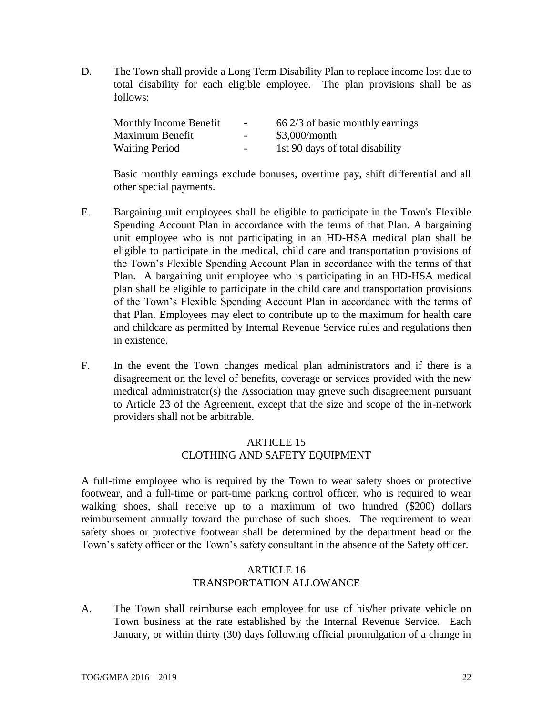D. The Town shall provide a Long Term Disability Plan to replace income lost due to total disability for each eligible employee. The plan provisions shall be as follows:

| Monthly Income Benefit | $\overline{\phantom{0}}$ | 66 2/3 of basic monthly earnings |
|------------------------|--------------------------|----------------------------------|
| Maximum Benefit        | $\overline{\phantom{a}}$ | $$3,000/m$ onth                  |
| <b>Waiting Period</b>  | $\overline{\phantom{0}}$ | 1st 90 days of total disability  |

Basic monthly earnings exclude bonuses, overtime pay, shift differential and all other special payments.

- E. Bargaining unit employees shall be eligible to participate in the Town's Flexible Spending Account Plan in accordance with the terms of that Plan. A bargaining unit employee who is not participating in an HD-HSA medical plan shall be eligible to participate in the medical, child care and transportation provisions of the Town's Flexible Spending Account Plan in accordance with the terms of that Plan. A bargaining unit employee who is participating in an HD-HSA medical plan shall be eligible to participate in the child care and transportation provisions of the Town's Flexible Spending Account Plan in accordance with the terms of that Plan. Employees may elect to contribute up to the maximum for health care and childcare as permitted by Internal Revenue Service rules and regulations then in existence.
- F. In the event the Town changes medical plan administrators and if there is a disagreement on the level of benefits, coverage or services provided with the new medical administrator(s) the Association may grieve such disagreement pursuant to Article 23 of the Agreement, except that the size and scope of the in-network providers shall not be arbitrable.

# ARTICLE 15 CLOTHING AND SAFETY EQUIPMENT

A full-time employee who is required by the Town to wear safety shoes or protective footwear, and a full-time or part-time parking control officer, who is required to wear walking shoes, shall receive up to a maximum of two hundred (\$200) dollars reimbursement annually toward the purchase of such shoes. The requirement to wear safety shoes or protective footwear shall be determined by the department head or the Town's safety officer or the Town's safety consultant in the absence of the Safety officer.

### ARTICLE 16 TRANSPORTATION ALLOWANCE

A. The Town shall reimburse each employee for use of his**/**her private vehicle on Town business at the rate established by the Internal Revenue Service. Each January, or within thirty (30) days following official promulgation of a change in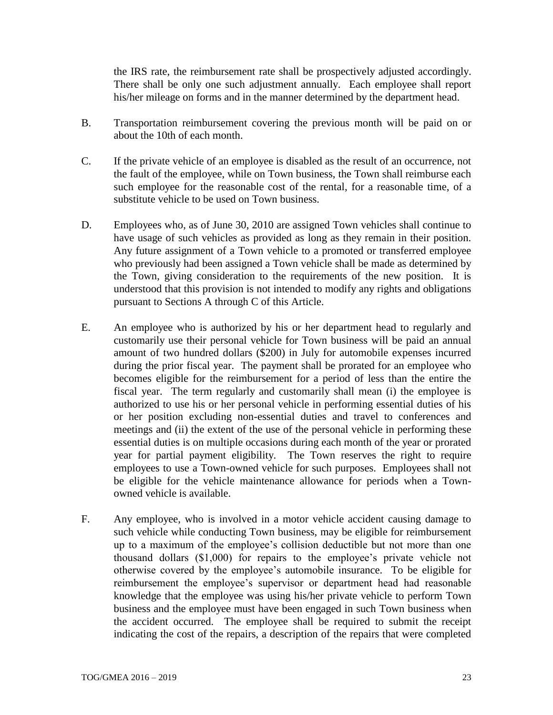the IRS rate, the reimbursement rate shall be prospectively adjusted accordingly. There shall be only one such adjustment annually. Each employee shall report his/her mileage on forms and in the manner determined by the department head.

- B. Transportation reimbursement covering the previous month will be paid on or about the 10th of each month.
- C. If the private vehicle of an employee is disabled as the result of an occurrence, not the fault of the employee, while on Town business, the Town shall reimburse each such employee for the reasonable cost of the rental, for a reasonable time, of a substitute vehicle to be used on Town business.
- D. Employees who, as of June 30, 2010 are assigned Town vehicles shall continue to have usage of such vehicles as provided as long as they remain in their position. Any future assignment of a Town vehicle to a promoted or transferred employee who previously had been assigned a Town vehicle shall be made as determined by the Town, giving consideration to the requirements of the new position. It is understood that this provision is not intended to modify any rights and obligations pursuant to Sections A through C of this Article.
- E. An employee who is authorized by his or her department head to regularly and customarily use their personal vehicle for Town business will be paid an annual amount of two hundred dollars (\$200) in July for automobile expenses incurred during the prior fiscal year. The payment shall be prorated for an employee who becomes eligible for the reimbursement for a period of less than the entire the fiscal year. The term regularly and customarily shall mean (i) the employee is authorized to use his or her personal vehicle in performing essential duties of his or her position excluding non-essential duties and travel to conferences and meetings and (ii) the extent of the use of the personal vehicle in performing these essential duties is on multiple occasions during each month of the year or prorated year for partial payment eligibility. The Town reserves the right to require employees to use a Town-owned vehicle for such purposes. Employees shall not be eligible for the vehicle maintenance allowance for periods when a Townowned vehicle is available.
- F. Any employee, who is involved in a motor vehicle accident causing damage to such vehicle while conducting Town business, may be eligible for reimbursement up to a maximum of the employee's collision deductible but not more than one thousand dollars (\$1,000) for repairs to the employee's private vehicle not otherwise covered by the employee's automobile insurance. To be eligible for reimbursement the employee's supervisor or department head had reasonable knowledge that the employee was using his/her private vehicle to perform Town business and the employee must have been engaged in such Town business when the accident occurred. The employee shall be required to submit the receipt indicating the cost of the repairs, a description of the repairs that were completed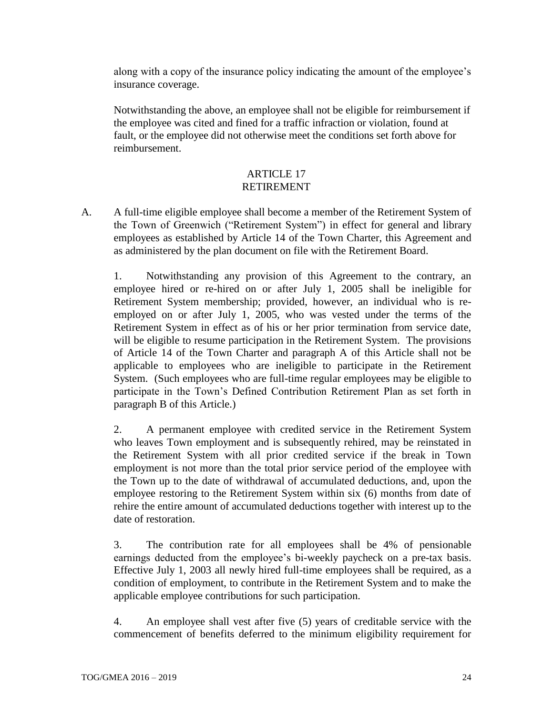along with a copy of the insurance policy indicating the amount of the employee's insurance coverage.

Notwithstanding the above, an employee shall not be eligible for reimbursement if the employee was cited and fined for a traffic infraction or violation, found at fault, or the employee did not otherwise meet the conditions set forth above for reimbursement.

## ARTICLE 17 RETIREMENT

A. A full-time eligible employee shall become a member of the Retirement System of the Town of Greenwich ("Retirement System") in effect for general and library employees as established by Article 14 of the Town Charter, this Agreement and as administered by the plan document on file with the Retirement Board.

1. Notwithstanding any provision of this Agreement to the contrary, an employee hired or re-hired on or after July 1, 2005 shall be ineligible for Retirement System membership; provided, however, an individual who is reemployed on or after July 1, 2005, who was vested under the terms of the Retirement System in effect as of his or her prior termination from service date, will be eligible to resume participation in the Retirement System. The provisions of Article 14 of the Town Charter and paragraph A of this Article shall not be applicable to employees who are ineligible to participate in the Retirement System. (Such employees who are full-time regular employees may be eligible to participate in the Town's Defined Contribution Retirement Plan as set forth in paragraph B of this Article.)

2. A permanent employee with credited service in the Retirement System who leaves Town employment and is subsequently rehired, may be reinstated in the Retirement System with all prior credited service if the break in Town employment is not more than the total prior service period of the employee with the Town up to the date of withdrawal of accumulated deductions, and, upon the employee restoring to the Retirement System within six (6) months from date of rehire the entire amount of accumulated deductions together with interest up to the date of restoration.

3. The contribution rate for all employees shall be 4% of pensionable earnings deducted from the employee's bi-weekly paycheck on a pre-tax basis. Effective July 1, 2003 all newly hired full-time employees shall be required, as a condition of employment, to contribute in the Retirement System and to make the applicable employee contributions for such participation.

4. An employee shall vest after five (5) years of creditable service with the commencement of benefits deferred to the minimum eligibility requirement for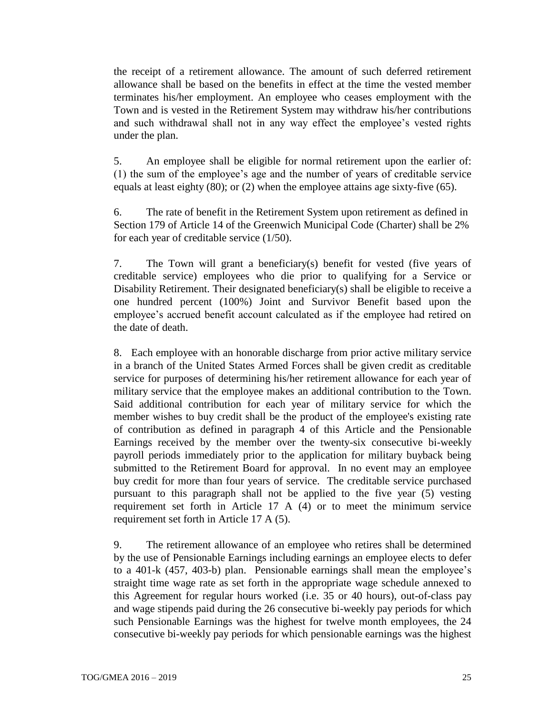the receipt of a retirement allowance. The amount of such deferred retirement allowance shall be based on the benefits in effect at the time the vested member terminates his/her employment. An employee who ceases employment with the Town and is vested in the Retirement System may withdraw his/her contributions and such withdrawal shall not in any way effect the employee's vested rights under the plan.

5. An employee shall be eligible for normal retirement upon the earlier of: (1) the sum of the employee's age and the number of years of creditable service equals at least eighty (80); or (2) when the employee attains age sixty-five (65).

6. The rate of benefit in the Retirement System upon retirement as defined in Section 179 of Article 14 of the Greenwich Municipal Code (Charter) shall be 2% for each year of creditable service (1/50).

7. The Town will grant a beneficiary(s) benefit for vested (five years of creditable service) employees who die prior to qualifying for a Service or Disability Retirement. Their designated beneficiary(s) shall be eligible to receive a one hundred percent (100%) Joint and Survivor Benefit based upon the employee's accrued benefit account calculated as if the employee had retired on the date of death.

8. Each employee with an honorable discharge from prior active military service in a branch of the United States Armed Forces shall be given credit as creditable service for purposes of determining his/her retirement allowance for each year of military service that the employee makes an additional contribution to the Town. Said additional contribution for each year of military service for which the member wishes to buy credit shall be the product of the employee's existing rate of contribution as defined in paragraph 4 of this Article and the Pensionable Earnings received by the member over the twenty-six consecutive bi-weekly payroll periods immediately prior to the application for military buyback being submitted to the Retirement Board for approval. In no event may an employee buy credit for more than four years of service. The creditable service purchased pursuant to this paragraph shall not be applied to the five year (5) vesting requirement set forth in Article 17 A (4) or to meet the minimum service requirement set forth in Article 17 A (5).

9. The retirement allowance of an employee who retires shall be determined by the use of Pensionable Earnings including earnings an employee elects to defer to a 401-k (457, 403-b) plan. Pensionable earnings shall mean the employee's straight time wage rate as set forth in the appropriate wage schedule annexed to this Agreement for regular hours worked (i.e. 35 or 40 hours), out-of-class pay and wage stipends paid during the 26 consecutive bi-weekly pay periods for which such Pensionable Earnings was the highest for twelve month employees, the 24 consecutive bi-weekly pay periods for which pensionable earnings was the highest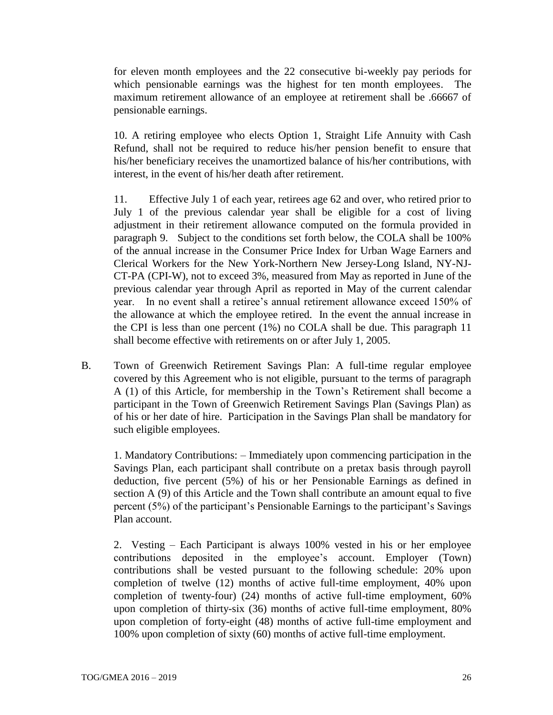for eleven month employees and the 22 consecutive bi-weekly pay periods for which pensionable earnings was the highest for ten month employees. The maximum retirement allowance of an employee at retirement shall be .66667 of pensionable earnings.

10. A retiring employee who elects Option 1, Straight Life Annuity with Cash Refund, shall not be required to reduce his/her pension benefit to ensure that his/her beneficiary receives the unamortized balance of his/her contributions, with interest, in the event of his/her death after retirement.

11. Effective July 1 of each year, retirees age 62 and over, who retired prior to July 1 of the previous calendar year shall be eligible for a cost of living adjustment in their retirement allowance computed on the formula provided in paragraph 9. Subject to the conditions set forth below, the COLA shall be 100% of the annual increase in the Consumer Price Index for Urban Wage Earners and Clerical Workers for the New York-Northern New Jersey-Long Island, NY-NJ-CT-PA (CPI-W), not to exceed 3%, measured from May as reported in June of the previous calendar year through April as reported in May of the current calendar year. In no event shall a retiree's annual retirement allowance exceed 150% of the allowance at which the employee retired. In the event the annual increase in the CPI is less than one percent (1%) no COLA shall be due. This paragraph 11 shall become effective with retirements on or after July 1, 2005.

B. Town of Greenwich Retirement Savings Plan: A full-time regular employee covered by this Agreement who is not eligible, pursuant to the terms of paragraph A (1) of this Article, for membership in the Town's Retirement shall become a participant in the Town of Greenwich Retirement Savings Plan (Savings Plan) as of his or her date of hire. Participation in the Savings Plan shall be mandatory for such eligible employees.

1. Mandatory Contributions: – Immediately upon commencing participation in the Savings Plan, each participant shall contribute on a pretax basis through payroll deduction, five percent (5%) of his or her Pensionable Earnings as defined in section A (9) of this Article and the Town shall contribute an amount equal to five percent (5%) of the participant's Pensionable Earnings to the participant's Savings Plan account.

2. Vesting – Each Participant is always 100% vested in his or her employee contributions deposited in the employee's account. Employer (Town) contributions shall be vested pursuant to the following schedule: 20% upon completion of twelve (12) months of active full-time employment, 40% upon completion of twenty-four) (24) months of active full-time employment, 60% upon completion of thirty-six (36) months of active full-time employment, 80% upon completion of forty-eight (48) months of active full-time employment and 100% upon completion of sixty (60) months of active full-time employment.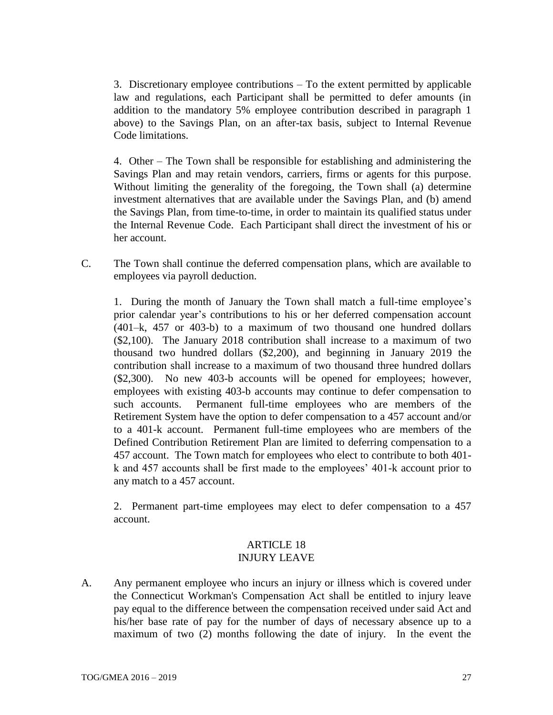3. Discretionary employee contributions – To the extent permitted by applicable law and regulations, each Participant shall be permitted to defer amounts (in addition to the mandatory 5% employee contribution described in paragraph 1 above) to the Savings Plan, on an after-tax basis, subject to Internal Revenue Code limitations.

4. Other – The Town shall be responsible for establishing and administering the Savings Plan and may retain vendors, carriers, firms or agents for this purpose. Without limiting the generality of the foregoing, the Town shall (a) determine investment alternatives that are available under the Savings Plan, and (b) amend the Savings Plan, from time-to-time, in order to maintain its qualified status under the Internal Revenue Code. Each Participant shall direct the investment of his or her account.

C. The Town shall continue the deferred compensation plans, which are available to employees via payroll deduction.

1. During the month of January the Town shall match a full-time employee's prior calendar year's contributions to his or her deferred compensation account (401–k, 457 or 403-b) to a maximum of two thousand one hundred dollars (\$2,100). The January 2018 contribution shall increase to a maximum of two thousand two hundred dollars (\$2,200), and beginning in January 2019 the contribution shall increase to a maximum of two thousand three hundred dollars (\$2,300). No new 403-b accounts will be opened for employees; however, employees with existing 403-b accounts may continue to defer compensation to such accounts. Permanent full-time employees who are members of the Retirement System have the option to defer compensation to a 457 account and/or to a 401-k account. Permanent full-time employees who are members of the Defined Contribution Retirement Plan are limited to deferring compensation to a 457 account. The Town match for employees who elect to contribute to both 401 k and 457 accounts shall be first made to the employees' 401-k account prior to any match to a 457 account.

2. Permanent part-time employees may elect to defer compensation to a 457 account.

### ARTICLE 18 INJURY LEAVE

A. Any permanent employee who incurs an injury or illness which is covered under the Connecticut Workman's Compensation Act shall be entitled to injury leave pay equal to the difference between the compensation received under said Act and his/her base rate of pay for the number of days of necessary absence up to a maximum of two (2) months following the date of injury. In the event the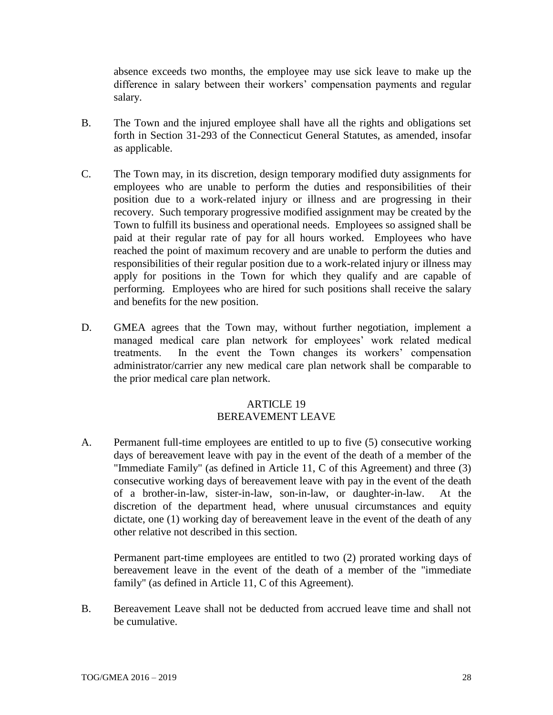absence exceeds two months, the employee may use sick leave to make up the difference in salary between their workers' compensation payments and regular salary.

- B. The Town and the injured employee shall have all the rights and obligations set forth in Section 31-293 of the Connecticut General Statutes, as amended, insofar as applicable.
- C. The Town may, in its discretion, design temporary modified duty assignments for employees who are unable to perform the duties and responsibilities of their position due to a work-related injury or illness and are progressing in their recovery. Such temporary progressive modified assignment may be created by the Town to fulfill its business and operational needs. Employees so assigned shall be paid at their regular rate of pay for all hours worked. Employees who have reached the point of maximum recovery and are unable to perform the duties and responsibilities of their regular position due to a work-related injury or illness may apply for positions in the Town for which they qualify and are capable of performing. Employees who are hired for such positions shall receive the salary and benefits for the new position.
- D. GMEA agrees that the Town may, without further negotiation, implement a managed medical care plan network for employees' work related medical treatments. In the event the Town changes its workers' compensation administrator/carrier any new medical care plan network shall be comparable to the prior medical care plan network.

#### **ARTICLE 19** BEREAVEMENT LEAVE

A. Permanent full-time employees are entitled to up to five (5) consecutive working days of bereavement leave with pay in the event of the death of a member of the "Immediate Family" (as defined in Article 11, C of this Agreement) and three (3) consecutive working days of bereavement leave with pay in the event of the death of a brother-in-law, sister-in-law, son-in-law, or daughter-in-law. At the discretion of the department head, where unusual circumstances and equity dictate, one (1) working day of bereavement leave in the event of the death of any other relative not described in this section.

Permanent part-time employees are entitled to two (2) prorated working days of bereavement leave in the event of the death of a member of the "immediate family" (as defined in Article 11, C of this Agreement).

B. Bereavement Leave shall not be deducted from accrued leave time and shall not be cumulative.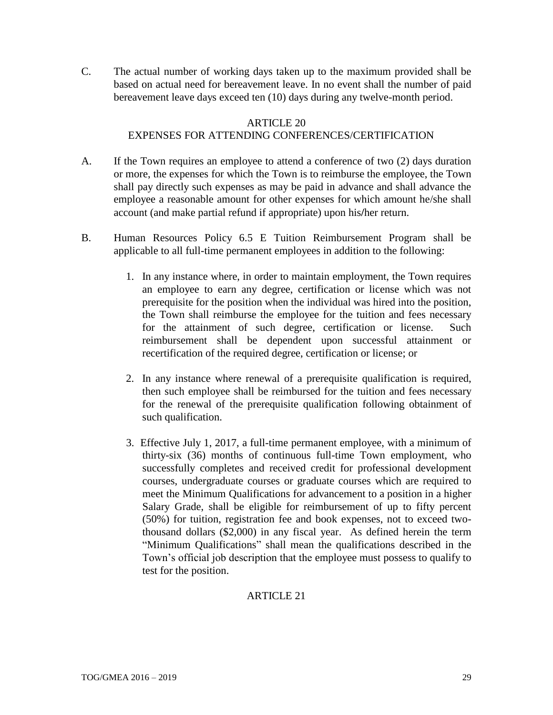C. The actual number of working days taken up to the maximum provided shall be based on actual need for bereavement leave. In no event shall the number of paid bereavement leave days exceed ten (10) days during any twelve-month period.

#### ARTICLE 20

# EXPENSES FOR ATTENDING CONFERENCES/CERTIFICATION

- A. If the Town requires an employee to attend a conference of two (2) days duration or more, the expenses for which the Town is to reimburse the employee, the Town shall pay directly such expenses as may be paid in advance and shall advance the employee a reasonable amount for other expenses for which amount he/she shall account (and make partial refund if appropriate) upon his**/**her return.
- B. Human Resources Policy 6.5 E Tuition Reimbursement Program shall be applicable to all full-time permanent employees in addition to the following:
	- 1. In any instance where, in order to maintain employment, the Town requires an employee to earn any degree, certification or license which was not prerequisite for the position when the individual was hired into the position, the Town shall reimburse the employee for the tuition and fees necessary for the attainment of such degree, certification or license. Such reimbursement shall be dependent upon successful attainment or recertification of the required degree, certification or license; or
	- 2. In any instance where renewal of a prerequisite qualification is required, then such employee shall be reimbursed for the tuition and fees necessary for the renewal of the prerequisite qualification following obtainment of such qualification.
	- 3. Effective July 1, 2017, a full-time permanent employee, with a minimum of thirty-six (36) months of continuous full-time Town employment, who successfully completes and received credit for professional development courses, undergraduate courses or graduate courses which are required to meet the Minimum Qualifications for advancement to a position in a higher Salary Grade, shall be eligible for reimbursement of up to fifty percent (50%) for tuition, registration fee and book expenses, not to exceed twothousand dollars (\$2,000) in any fiscal year. As defined herein the term "Minimum Qualifications" shall mean the qualifications described in the Town's official job description that the employee must possess to qualify to test for the position.

# ARTICLE 21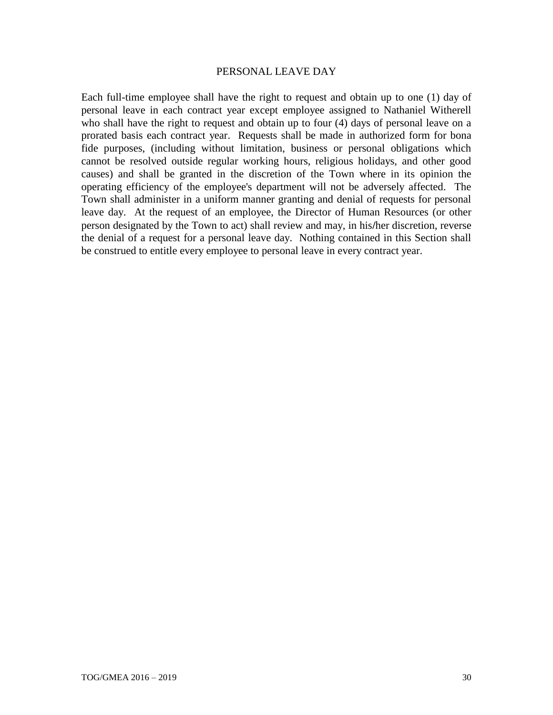#### PERSONAL LEAVE DAY

Each full-time employee shall have the right to request and obtain up to one (1) day of personal leave in each contract year except employee assigned to Nathaniel Witherell who shall have the right to request and obtain up to four (4) days of personal leave on a prorated basis each contract year. Requests shall be made in authorized form for bona fide purposes, (including without limitation, business or personal obligations which cannot be resolved outside regular working hours, religious holidays, and other good causes) and shall be granted in the discretion of the Town where in its opinion the operating efficiency of the employee's department will not be adversely affected. The Town shall administer in a uniform manner granting and denial of requests for personal leave day. At the request of an employee, the Director of Human Resources (or other person designated by the Town to act) shall review and may, in his**/**her discretion, reverse the denial of a request for a personal leave day. Nothing contained in this Section shall be construed to entitle every employee to personal leave in every contract year.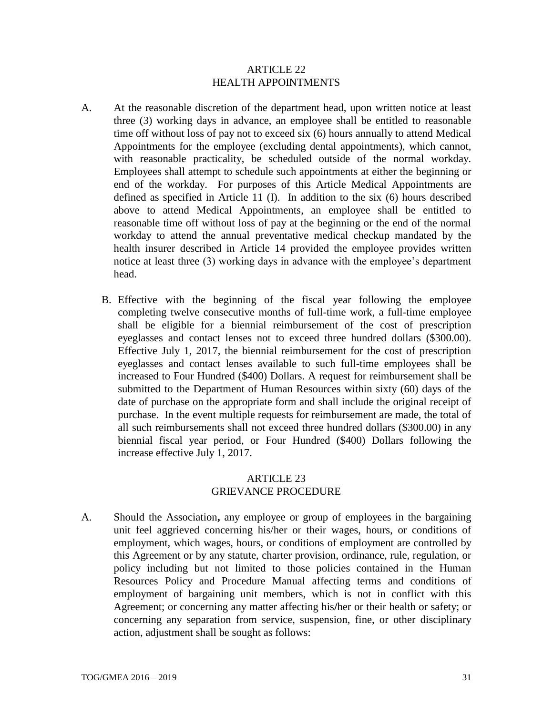#### ARTICLE 22 HEALTH APPOINTMENTS

- A. At the reasonable discretion of the department head, upon written notice at least three (3) working days in advance, an employee shall be entitled to reasonable time off without loss of pay not to exceed six (6) hours annually to attend Medical Appointments for the employee (excluding dental appointments), which cannot, with reasonable practicality, be scheduled outside of the normal workday. Employees shall attempt to schedule such appointments at either the beginning or end of the workday. For purposes of this Article Medical Appointments are defined as specified in Article 11 (I). In addition to the six (6) hours described above to attend Medical Appointments, an employee shall be entitled to reasonable time off without loss of pay at the beginning or the end of the normal workday to attend the annual preventative medical checkup mandated by the health insurer described in Article 14 provided the employee provides written notice at least three (3) working days in advance with the employee's department head.
	- B. Effective with the beginning of the fiscal year following the employee completing twelve consecutive months of full-time work, a full-time employee shall be eligible for a biennial reimbursement of the cost of prescription eyeglasses and contact lenses not to exceed three hundred dollars (\$300.00). Effective July 1, 2017, the biennial reimbursement for the cost of prescription eyeglasses and contact lenses available to such full-time employees shall be increased to Four Hundred (\$400) Dollars. A request for reimbursement shall be submitted to the Department of Human Resources within sixty (60) days of the date of purchase on the appropriate form and shall include the original receipt of purchase. In the event multiple requests for reimbursement are made, the total of all such reimbursements shall not exceed three hundred dollars (\$300.00) in any biennial fiscal year period, or Four Hundred (\$400) Dollars following the increase effective July 1, 2017.

## ARTICLE 23 GRIEVANCE PROCEDURE

A. Should the Association**,** any employee or group of employees in the bargaining unit feel aggrieved concerning his/her or their wages, hours, or conditions of employment, which wages, hours, or conditions of employment are controlled by this Agreement or by any statute, charter provision, ordinance, rule, regulation, or policy including but not limited to those policies contained in the Human Resources Policy and Procedure Manual affecting terms and conditions of employment of bargaining unit members, which is not in conflict with this Agreement; or concerning any matter affecting his**/**her or their health or safety; or concerning any separation from service, suspension, fine, or other disciplinary action, adjustment shall be sought as follows: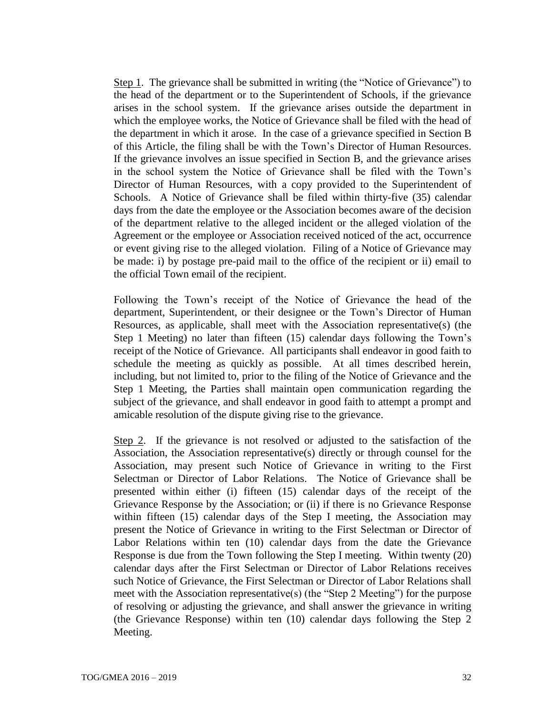Step 1. The grievance shall be submitted in writing (the "Notice of Grievance") to the head of the department or to the Superintendent of Schools, if the grievance arises in the school system. If the grievance arises outside the department in which the employee works, the Notice of Grievance shall be filed with the head of the department in which it arose. In the case of a grievance specified in Section B of this Article, the filing shall be with the Town's Director of Human Resources. If the grievance involves an issue specified in Section B, and the grievance arises in the school system the Notice of Grievance shall be filed with the Town's Director of Human Resources, with a copy provided to the Superintendent of Schools. A Notice of Grievance shall be filed within thirty-five (35) calendar days from the date the employee or the Association becomes aware of the decision of the department relative to the alleged incident or the alleged violation of the Agreement or the employee or Association received noticed of the act, occurrence or event giving rise to the alleged violation. Filing of a Notice of Grievance may be made: i) by postage pre-paid mail to the office of the recipient or ii) email to the official Town email of the recipient.

Following the Town's receipt of the Notice of Grievance the head of the department, Superintendent, or their designee or the Town's Director of Human Resources, as applicable, shall meet with the Association representative(s) (the Step 1 Meeting) no later than fifteen (15) calendar days following the Town's receipt of the Notice of Grievance. All participants shall endeavor in good faith to schedule the meeting as quickly as possible. At all times described herein, including, but not limited to, prior to the filing of the Notice of Grievance and the Step 1 Meeting, the Parties shall maintain open communication regarding the subject of the grievance, and shall endeavor in good faith to attempt a prompt and amicable resolution of the dispute giving rise to the grievance.

Step 2. If the grievance is not resolved or adjusted to the satisfaction of the Association, the Association representative(s) directly or through counsel for the Association, may present such Notice of Grievance in writing to the First Selectman or Director of Labor Relations. The Notice of Grievance shall be presented within either (i) fifteen (15) calendar days of the receipt of the Grievance Response by the Association; or (ii) if there is no Grievance Response within fifteen (15) calendar days of the Step I meeting, the Association may present the Notice of Grievance in writing to the First Selectman or Director of Labor Relations within ten (10) calendar days from the date the Grievance Response is due from the Town following the Step I meeting. Within twenty (20) calendar days after the First Selectman or Director of Labor Relations receives such Notice of Grievance, the First Selectman or Director of Labor Relations shall meet with the Association representative(s) (the "Step 2 Meeting") for the purpose of resolving or adjusting the grievance, and shall answer the grievance in writing (the Grievance Response) within ten (10) calendar days following the Step 2 Meeting.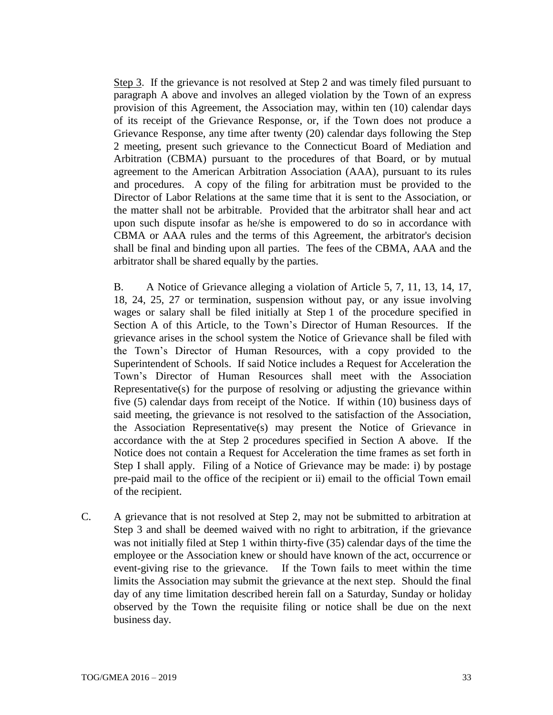Step 3. If the grievance is not resolved at Step 2 and was timely filed pursuant to paragraph A above and involves an alleged violation by the Town of an express provision of this Agreement, the Association may, within ten (10) calendar days of its receipt of the Grievance Response, or, if the Town does not produce a Grievance Response, any time after twenty (20) calendar days following the Step 2 meeting, present such grievance to the Connecticut Board of Mediation and Arbitration (CBMA) pursuant to the procedures of that Board, or by mutual agreement to the American Arbitration Association (AAA), pursuant to its rules and procedures. A copy of the filing for arbitration must be provided to the Director of Labor Relations at the same time that it is sent to the Association, or the matter shall not be arbitrable. Provided that the arbitrator shall hear and act upon such dispute insofar as he/she is empowered to do so in accordance with CBMA or AAA rules and the terms of this Agreement, the arbitrator's decision shall be final and binding upon all parties. The fees of the CBMA, AAA and the arbitrator shall be shared equally by the parties.

B. A Notice of Grievance alleging a violation of Article 5, 7, 11, 13, 14, 17, 18, 24, 25, 27 or termination, suspension without pay, or any issue involving wages or salary shall be filed initially at Step 1 of the procedure specified in Section A of this Article, to the Town's Director of Human Resources. If the grievance arises in the school system the Notice of Grievance shall be filed with the Town's Director of Human Resources, with a copy provided to the Superintendent of Schools. If said Notice includes a Request for Acceleration the Town's Director of Human Resources shall meet with the Association Representative(s) for the purpose of resolving or adjusting the grievance within five (5) calendar days from receipt of the Notice. If within (10) business days of said meeting, the grievance is not resolved to the satisfaction of the Association, the Association Representative(s) may present the Notice of Grievance in accordance with the at Step 2 procedures specified in Section A above. If the Notice does not contain a Request for Acceleration the time frames as set forth in Step I shall apply. Filing of a Notice of Grievance may be made: i) by postage pre-paid mail to the office of the recipient or ii) email to the official Town email of the recipient.

C. A grievance that is not resolved at Step 2, may not be submitted to arbitration at Step 3 and shall be deemed waived with no right to arbitration, if the grievance was not initially filed at Step 1 within thirty**-**five (35) calendar days of the time the employee or the Association knew or should have known of the act, occurrence or event-giving rise to the grievance. If the Town fails to meet within the time limits the Association may submit the grievance at the next step. Should the final day of any time limitation described herein fall on a Saturday, Sunday or holiday observed by the Town the requisite filing or notice shall be due on the next business day.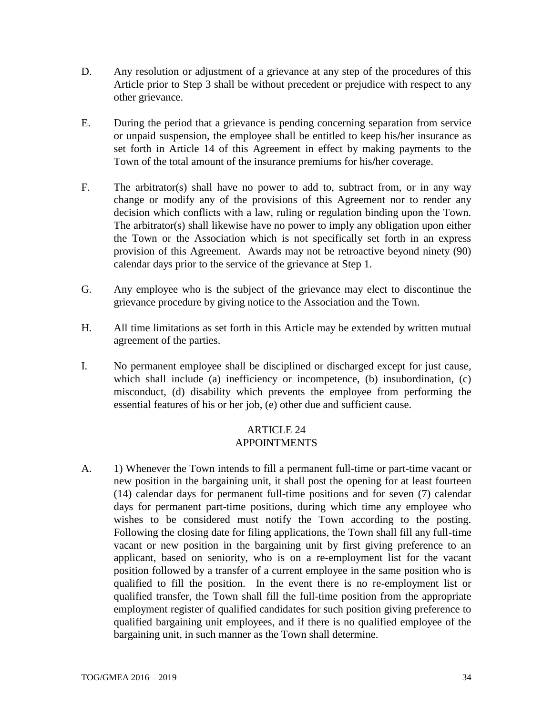- D. Any resolution or adjustment of a grievance at any step of the procedures of this Article prior to Step 3 shall be without precedent or prejudice with respect to any other grievance.
- E. During the period that a grievance is pending concerning separation from service or unpaid suspension, the employee shall be entitled to keep his**/**her insurance as set forth in Article 14 of this Agreement in effect by making payments to the Town of the total amount of the insurance premiums for his**/**her coverage.
- F. The arbitrator(s) shall have no power to add to, subtract from, or in any way change or modify any of the provisions of this Agreement nor to render any decision which conflicts with a law, ruling or regulation binding upon the Town. The arbitrator(s) shall likewise have no power to imply any obligation upon either the Town or the Association which is not specifically set forth in an express provision of this Agreement. Awards may not be retroactive beyond ninety (90) calendar days prior to the service of the grievance at Step 1.
- G. Any employee who is the subject of the grievance may elect to discontinue the grievance procedure by giving notice to the Association and the Town.
- H. All time limitations as set forth in this Article may be extended by written mutual agreement of the parties.
- I. No permanent employee shall be disciplined or discharged except for just cause, which shall include (a) inefficiency or incompetence, (b) insubordination, (c) misconduct, (d) disability which prevents the employee from performing the essential features of his or her job, (e) other due and sufficient cause.

# ARTICLE 24 APPOINTMENTS

A. 1) Whenever the Town intends to fill a permanent full-time or part-time vacant or new position in the bargaining unit, it shall post the opening for at least fourteen (14) calendar days for permanent full-time positions and for seven (7) calendar days for permanent part-time positions, during which time any employee who wishes to be considered must notify the Town according to the posting. Following the closing date for filing applications, the Town shall fill any full-time vacant or new position in the bargaining unit by first giving preference to an applicant, based on seniority, who is on a re-employment list for the vacant position followed by a transfer of a current employee in the same position who is qualified to fill the position. In the event there is no re-employment list or qualified transfer, the Town shall fill the full-time position from the appropriate employment register of qualified candidates for such position giving preference to qualified bargaining unit employees, and if there is no qualified employee of the bargaining unit, in such manner as the Town shall determine.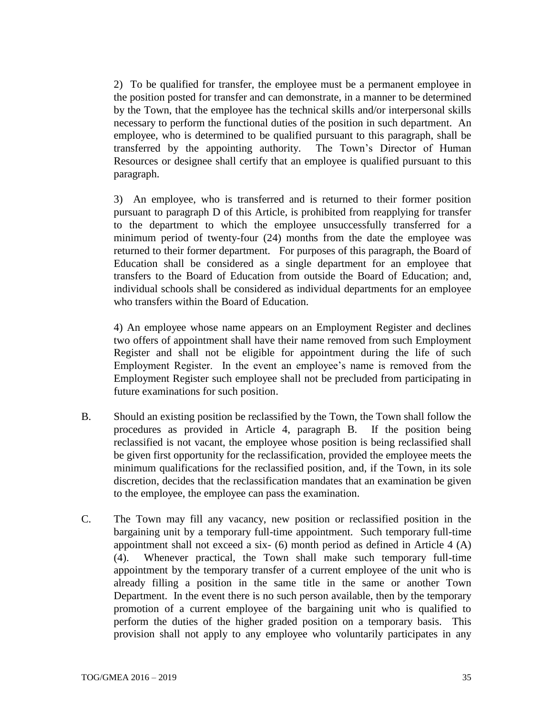2) To be qualified for transfer, the employee must be a permanent employee in the position posted for transfer and can demonstrate, in a manner to be determined by the Town, that the employee has the technical skills and/or interpersonal skills necessary to perform the functional duties of the position in such department. An employee, who is determined to be qualified pursuant to this paragraph, shall be transferred by the appointing authority. The Town's Director of Human Resources or designee shall certify that an employee is qualified pursuant to this paragraph.

3) An employee, who is transferred and is returned to their former position pursuant to paragraph D of this Article, is prohibited from reapplying for transfer to the department to which the employee unsuccessfully transferred for a minimum period of twenty-four (24) months from the date the employee was returned to their former department. For purposes of this paragraph, the Board of Education shall be considered as a single department for an employee that transfers to the Board of Education from outside the Board of Education; and, individual schools shall be considered as individual departments for an employee who transfers within the Board of Education.

4) An employee whose name appears on an Employment Register and declines two offers of appointment shall have their name removed from such Employment Register and shall not be eligible for appointment during the life of such Employment Register. In the event an employee's name is removed from the Employment Register such employee shall not be precluded from participating in future examinations for such position.

- B. Should an existing position be reclassified by the Town, the Town shall follow the procedures as provided in Article 4, paragraph B. If the position being reclassified is not vacant, the employee whose position is being reclassified shall be given first opportunity for the reclassification, provided the employee meets the minimum qualifications for the reclassified position, and, if the Town, in its sole discretion, decides that the reclassification mandates that an examination be given to the employee, the employee can pass the examination.
- C. The Town may fill any vacancy, new position or reclassified position in the bargaining unit by a temporary full-time appointment. Such temporary full-time appointment shall not exceed a six- (6) month period as defined in Article 4 (A) (4). Whenever practical, the Town shall make such temporary full-time appointment by the temporary transfer of a current employee of the unit who is already filling a position in the same title in the same or another Town Department. In the event there is no such person available, then by the temporary promotion of a current employee of the bargaining unit who is qualified to perform the duties of the higher graded position on a temporary basis. This provision shall not apply to any employee who voluntarily participates in any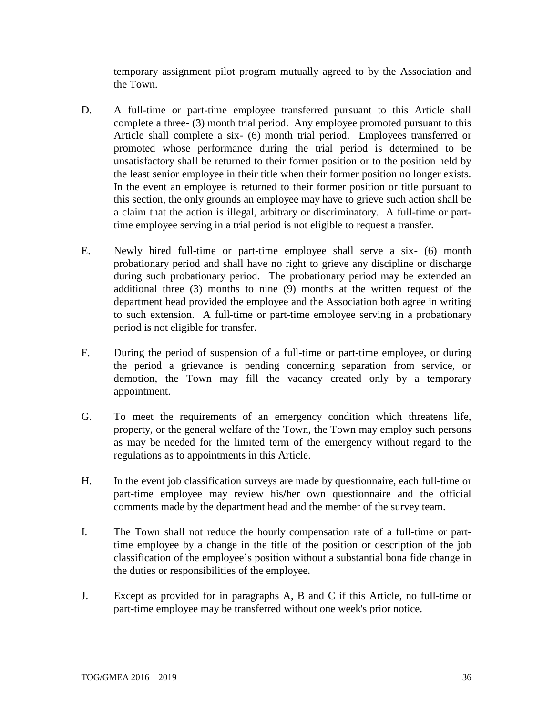temporary assignment pilot program mutually agreed to by the Association and the Town.

- D. A full-time or part-time employee transferred pursuant to this Article shall complete a three- (3) month trial period. Any employee promoted pursuant to this Article shall complete a six- (6) month trial period. Employees transferred or promoted whose performance during the trial period is determined to be unsatisfactory shall be returned to their former position or to the position held by the least senior employee in their title when their former position no longer exists. In the event an employee is returned to their former position or title pursuant to this section, the only grounds an employee may have to grieve such action shall be a claim that the action is illegal, arbitrary or discriminatory. A full-time or parttime employee serving in a trial period is not eligible to request a transfer.
- E. Newly hired full-time or part-time employee shall serve a six- (6) month probationary period and shall have no right to grieve any discipline or discharge during such probationary period. The probationary period may be extended an additional three (3) months to nine (9) months at the written request of the department head provided the employee and the Association both agree in writing to such extension. A full-time or part-time employee serving in a probationary period is not eligible for transfer.
- F. During the period of suspension of a full-time or part-time employee, or during the period a grievance is pending concerning separation from service, or demotion, the Town may fill the vacancy created only by a temporary appointment.
- G. To meet the requirements of an emergency condition which threatens life, property, or the general welfare of the Town, the Town may employ such persons as may be needed for the limited term of the emergency without regard to the regulations as to appointments in this Article.
- H. In the event job classification surveys are made by questionnaire, each full-time or part-time employee may review his**/**her own questionnaire and the official comments made by the department head and the member of the survey team.
- I. The Town shall not reduce the hourly compensation rate of a full-time or parttime employee by a change in the title of the position or description of the job classification of the employee's position without a substantial bona fide change in the duties or responsibilities of the employee.
- J. Except as provided for in paragraphs A, B and C if this Article, no full-time or part-time employee may be transferred without one week's prior notice.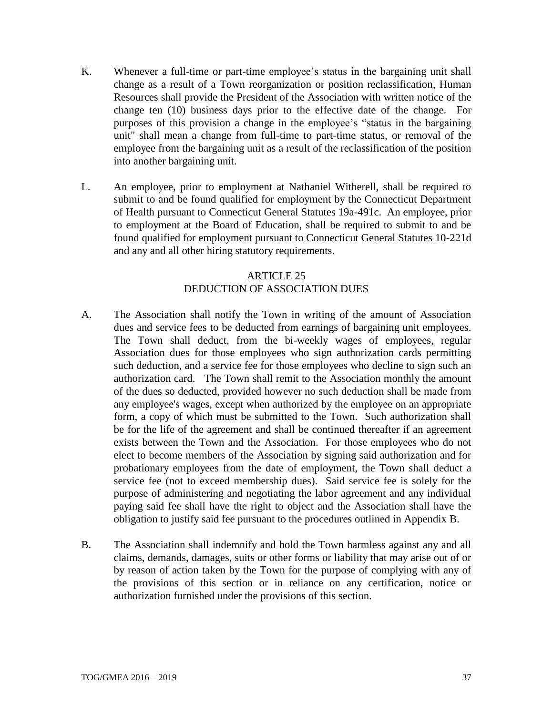- K. Whenever a full-time or part-time employee's status in the bargaining unit shall change as a result of a Town reorganization or position reclassification, Human Resources shall provide the President of the Association with written notice of the change ten (10) business days prior to the effective date of the change. For purposes of this provision a change in the employee's "status in the bargaining unit" shall mean a change from full-time to part-time status, or removal of the employee from the bargaining unit as a result of the reclassification of the position into another bargaining unit.
- L. An employee, prior to employment at Nathaniel Witherell, shall be required to submit to and be found qualified for employment by the Connecticut Department of Health pursuant to Connecticut General Statutes 19a-491c. An employee, prior to employment at the Board of Education, shall be required to submit to and be found qualified for employment pursuant to Connecticut General Statutes 10-221d and any and all other hiring statutory requirements.

# ARTICLE 25 DEDUCTION OF ASSOCIATION DUES

- A. The Association shall notify the Town in writing of the amount of Association dues and service fees to be deducted from earnings of bargaining unit employees. The Town shall deduct, from the bi-weekly wages of employees, regular Association dues for those employees who sign authorization cards permitting such deduction, and a service fee for those employees who decline to sign such an authorization card. The Town shall remit to the Association monthly the amount of the dues so deducted, provided however no such deduction shall be made from any employee's wages, except when authorized by the employee on an appropriate form, a copy of which must be submitted to the Town. Such authorization shall be for the life of the agreement and shall be continued thereafter if an agreement exists between the Town and the Association. For those employees who do not elect to become members of the Association by signing said authorization and for probationary employees from the date of employment, the Town shall deduct a service fee (not to exceed membership dues). Said service fee is solely for the purpose of administering and negotiating the labor agreement and any individual paying said fee shall have the right to object and the Association shall have the obligation to justify said fee pursuant to the procedures outlined in Appendix B.
- B. The Association shall indemnify and hold the Town harmless against any and all claims, demands, damages, suits or other forms or liability that may arise out of or by reason of action taken by the Town for the purpose of complying with any of the provisions of this section or in reliance on any certification, notice or authorization furnished under the provisions of this section.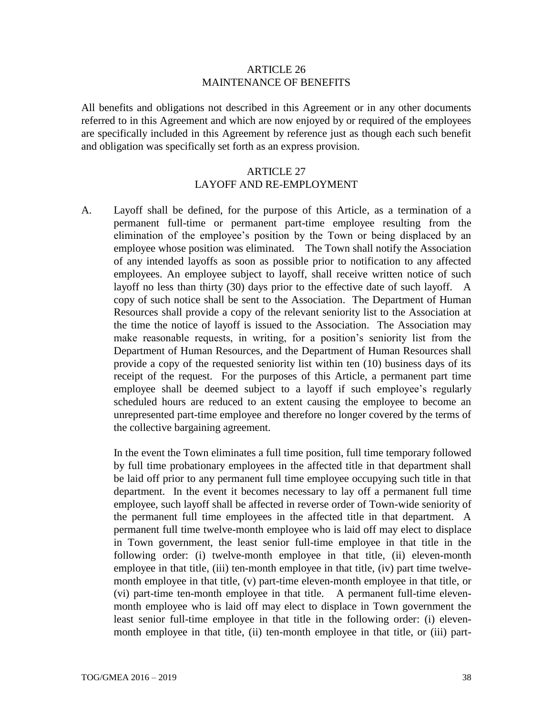#### ARTICLE 26 MAINTENANCE OF BENEFITS

All benefits and obligations not described in this Agreement or in any other documents referred to in this Agreement and which are now enjoyed by or required of the employees are specifically included in this Agreement by reference just as though each such benefit and obligation was specifically set forth as an express provision.

#### ARTICLE 27 LAYOFF AND RE-EMPLOYMENT

A. Layoff shall be defined, for the purpose of this Article, as a termination of a permanent full-time or permanent part-time employee resulting from the elimination of the employee's position by the Town or being displaced by an employee whose position was eliminated. The Town shall notify the Association of any intended layoffs as soon as possible prior to notification to any affected employees. An employee subject to layoff, shall receive written notice of such layoff no less than thirty (30) days prior to the effective date of such layoff. A copy of such notice shall be sent to the Association. The Department of Human Resources shall provide a copy of the relevant seniority list to the Association at the time the notice of layoff is issued to the Association. The Association may make reasonable requests, in writing, for a position's seniority list from the Department of Human Resources, and the Department of Human Resources shall provide a copy of the requested seniority list within ten (10) business days of its receipt of the request. For the purposes of this Article, a permanent part time employee shall be deemed subject to a layoff if such employee's regularly scheduled hours are reduced to an extent causing the employee to become an unrepresented part-time employee and therefore no longer covered by the terms of the collective bargaining agreement.

In the event the Town eliminates a full time position, full time temporary followed by full time probationary employees in the affected title in that department shall be laid off prior to any permanent full time employee occupying such title in that department. In the event it becomes necessary to lay off a permanent full time employee, such layoff shall be affected in reverse order of Town-wide seniority of the permanent full time employees in the affected title in that department. A permanent full time twelve-month employee who is laid off may elect to displace in Town government, the least senior full-time employee in that title in the following order: (i) twelve-month employee in that title, (ii) eleven-month employee in that title, (iii) ten-month employee in that title, (iv) part time twelvemonth employee in that title, (v) part-time eleven-month employee in that title, or (vi) part-time ten-month employee in that title. A permanent full-time elevenmonth employee who is laid off may elect to displace in Town government the least senior full-time employee in that title in the following order: (i) elevenmonth employee in that title, (ii) ten-month employee in that title, or (iii) part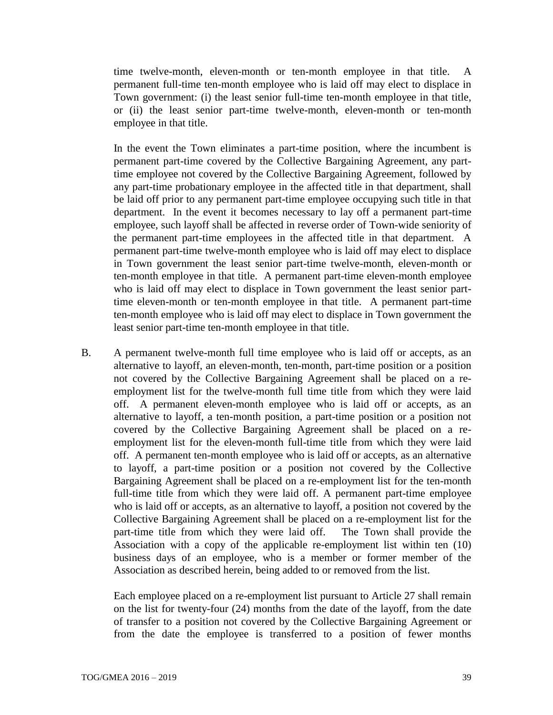time twelve-month, eleven-month or ten-month employee in that title. A permanent full-time ten-month employee who is laid off may elect to displace in Town government: (i) the least senior full-time ten-month employee in that title, or (ii) the least senior part-time twelve-month, eleven-month or ten-month employee in that title.

In the event the Town eliminates a part-time position, where the incumbent is permanent part-time covered by the Collective Bargaining Agreement, any parttime employee not covered by the Collective Bargaining Agreement, followed by any part-time probationary employee in the affected title in that department, shall be laid off prior to any permanent part-time employee occupying such title in that department. In the event it becomes necessary to lay off a permanent part-time employee, such layoff shall be affected in reverse order of Town-wide seniority of the permanent part-time employees in the affected title in that department. A permanent part-time twelve-month employee who is laid off may elect to displace in Town government the least senior part-time twelve-month, eleven-month or ten-month employee in that title. A permanent part-time eleven-month employee who is laid off may elect to displace in Town government the least senior parttime eleven-month or ten-month employee in that title. A permanent part-time ten-month employee who is laid off may elect to displace in Town government the least senior part-time ten-month employee in that title.

B. A permanent twelve-month full time employee who is laid off or accepts, as an alternative to layoff, an eleven-month, ten-month, part-time position or a position not covered by the Collective Bargaining Agreement shall be placed on a reemployment list for the twelve-month full time title from which they were laid off. A permanent eleven-month employee who is laid off or accepts, as an alternative to layoff, a ten-month position, a part-time position or a position not covered by the Collective Bargaining Agreement shall be placed on a reemployment list for the eleven-month full-time title from which they were laid off. A permanent ten-month employee who is laid off or accepts, as an alternative to layoff, a part-time position or a position not covered by the Collective Bargaining Agreement shall be placed on a re-employment list for the ten-month full-time title from which they were laid off. A permanent part-time employee who is laid off or accepts, as an alternative to layoff, a position not covered by the Collective Bargaining Agreement shall be placed on a re-employment list for the part-time title from which they were laid off. The Town shall provide the Association with a copy of the applicable re-employment list within ten (10) business days of an employee, who is a member or former member of the Association as described herein, being added to or removed from the list.

Each employee placed on a re-employment list pursuant to Article 27 shall remain on the list for twenty-four (24) months from the date of the layoff, from the date of transfer to a position not covered by the Collective Bargaining Agreement or from the date the employee is transferred to a position of fewer months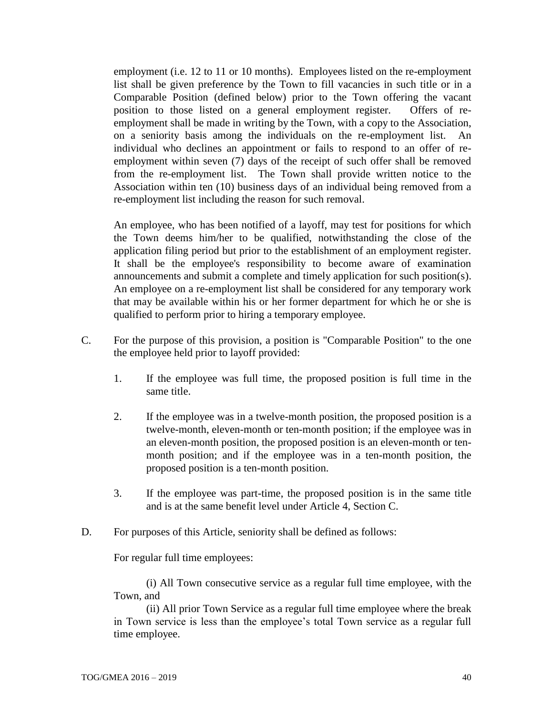employment (i.e. 12 to 11 or 10 months). Employees listed on the re-employment list shall be given preference by the Town to fill vacancies in such title or in a Comparable Position (defined below) prior to the Town offering the vacant position to those listed on a general employment register. Offers of reemployment shall be made in writing by the Town, with a copy to the Association, on a seniority basis among the individuals on the re-employment list. An individual who declines an appointment or fails to respond to an offer of reemployment within seven (7) days of the receipt of such offer shall be removed from the re-employment list. The Town shall provide written notice to the Association within ten (10) business days of an individual being removed from a re-employment list including the reason for such removal.

An employee, who has been notified of a layoff, may test for positions for which the Town deems him/her to be qualified, notwithstanding the close of the application filing period but prior to the establishment of an employment register. It shall be the employee's responsibility to become aware of examination announcements and submit a complete and timely application for such position(s). An employee on a re-employment list shall be considered for any temporary work that may be available within his or her former department for which he or she is qualified to perform prior to hiring a temporary employee.

- C. For the purpose of this provision, a position is "Comparable Position" to the one the employee held prior to layoff provided:
	- 1. If the employee was full time, the proposed position is full time in the same title.
	- 2. If the employee was in a twelve-month position, the proposed position is a twelve-month, eleven-month or ten-month position; if the employee was in an eleven-month position, the proposed position is an eleven-month or tenmonth position; and if the employee was in a ten-month position, the proposed position is a ten-month position.
	- 3. If the employee was part-time, the proposed position is in the same title and is at the same benefit level under Article 4, Section C.
- D. For purposes of this Article, seniority shall be defined as follows:

For regular full time employees:

(i) All Town consecutive service as a regular full time employee, with the Town, and

(ii) All prior Town Service as a regular full time employee where the break in Town service is less than the employee's total Town service as a regular full time employee.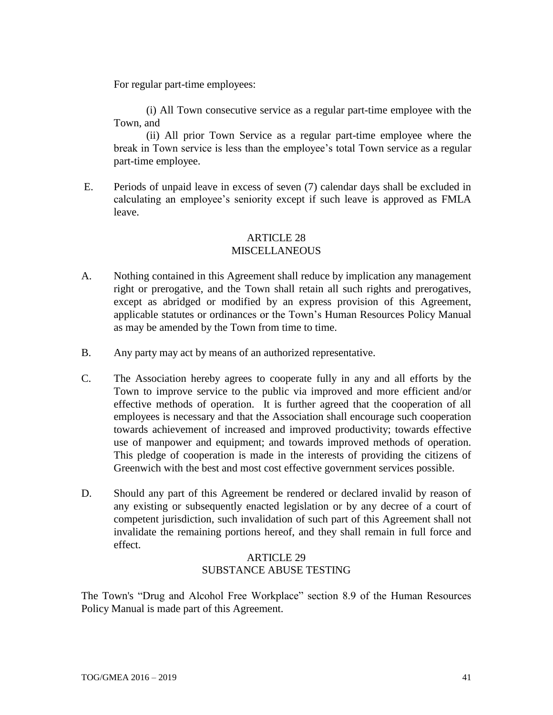For regular part-time employees:

(i) All Town consecutive service as a regular part-time employee with the Town, and

(ii) All prior Town Service as a regular part-time employee where the break in Town service is less than the employee's total Town service as a regular part-time employee.

E. Periods of unpaid leave in excess of seven (7) calendar days shall be excluded in calculating an employee's seniority except if such leave is approved as FMLA leave.

# ARTICLE 28 MISCELLANEOUS

- A. Nothing contained in this Agreement shall reduce by implication any management right or prerogative, and the Town shall retain all such rights and prerogatives, except as abridged or modified by an express provision of this Agreement, applicable statutes or ordinances or the Town's Human Resources Policy Manual as may be amended by the Town from time to time.
- B. Any party may act by means of an authorized representative.
- C. The Association hereby agrees to cooperate fully in any and all efforts by the Town to improve service to the public via improved and more efficient and/or effective methods of operation. It is further agreed that the cooperation of all employees is necessary and that the Association shall encourage such cooperation towards achievement of increased and improved productivity; towards effective use of manpower and equipment; and towards improved methods of operation. This pledge of cooperation is made in the interests of providing the citizens of Greenwich with the best and most cost effective government services possible.
- D. Should any part of this Agreement be rendered or declared invalid by reason of any existing or subsequently enacted legislation or by any decree of a court of competent jurisdiction, such invalidation of such part of this Agreement shall not invalidate the remaining portions hereof, and they shall remain in full force and effect.

#### ARTICLE 29 SUBSTANCE ABUSE TESTING

The Town's "Drug and Alcohol Free Workplace" section 8.9 of the Human Resources Policy Manual is made part of this Agreement.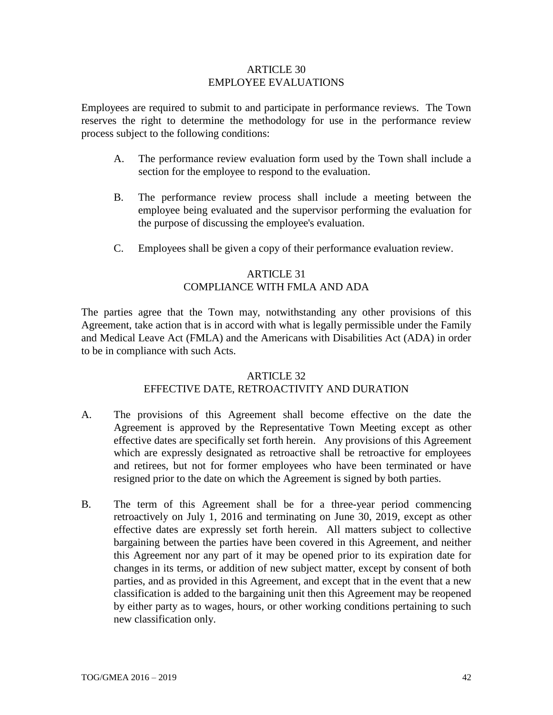#### ARTICLE 30 EMPLOYEE EVALUATIONS

Employees are required to submit to and participate in performance reviews. The Town reserves the right to determine the methodology for use in the performance review process subject to the following conditions:

- A. The performance review evaluation form used by the Town shall include a section for the employee to respond to the evaluation.
- B. The performance review process shall include a meeting between the employee being evaluated and the supervisor performing the evaluation for the purpose of discussing the employee's evaluation.
- C. Employees shall be given a copy of their performance evaluation review.

# ARTICLE 31 COMPLIANCE WITH FMLA AND ADA

The parties agree that the Town may, notwithstanding any other provisions of this Agreement, take action that is in accord with what is legally permissible under the Family and Medical Leave Act (FMLA) and the Americans with Disabilities Act (ADA) in order to be in compliance with such Acts.

#### ARTICLE 32

# EFFECTIVE DATE, RETROACTIVITY AND DURATION

- A. The provisions of this Agreement shall become effective on the date the Agreement is approved by the Representative Town Meeting except as other effective dates are specifically set forth herein. Any provisions of this Agreement which are expressly designated as retroactive shall be retroactive for employees and retirees, but not for former employees who have been terminated or have resigned prior to the date on which the Agreement is signed by both parties.
- B. The term of this Agreement shall be for a three-year period commencing retroactively on July 1, 2016 and terminating on June 30, 2019, except as other effective dates are expressly set forth herein. All matters subject to collective bargaining between the parties have been covered in this Agreement, and neither this Agreement nor any part of it may be opened prior to its expiration date for changes in its terms, or addition of new subject matter, except by consent of both parties, and as provided in this Agreement, and except that in the event that a new classification is added to the bargaining unit then this Agreement may be reopened by either party as to wages, hours, or other working conditions pertaining to such new classification only.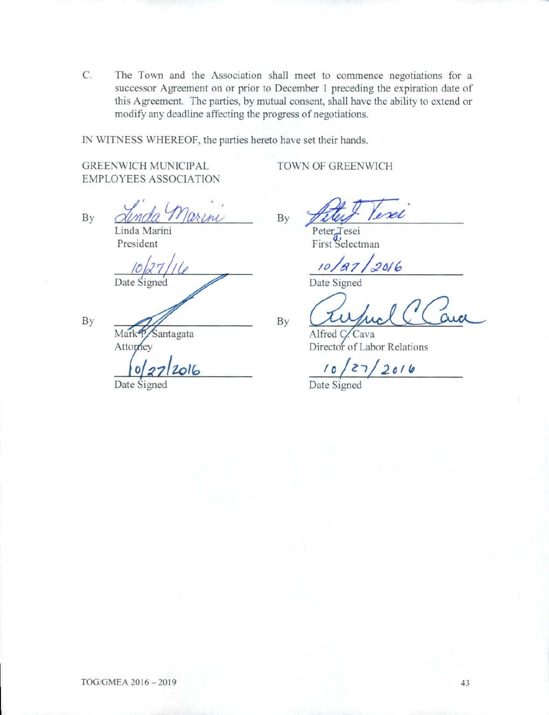C. The Town and the Association shall meet to commence negotiations for a successor Agreement on or prior to December 1 preceding the expiration date of this Agreement. The parties, by mutual consent, shall have the ability to extend or modify any deadline affecting the progress of negotiations.

By

IN WITNESS WHEREOF, the parties hereto have set their hands.

GREENWICH MUNICIPAL EMPLOYEES ASSOCIATION TOWN OF GREENWICH

By

Linda Marini President

Date Signed

2016

By

Mark<sup>4</sup> Santagata Attorney

Date Signed

evel By Peter<sub>Jesei</sub>

First Selectman

*/o/t? 7 /c2"16* 

Date Signed

 $\frac{\sqrt{20187/2016}}{\sqrt{201}}$   $\frac{\sqrt{2016}}{\sqrt{201}}$ Alfred C. Cava<br>
Director of Labor Relations

Director of Labor Relations

*to/z-,/2olt,* 

Date Signed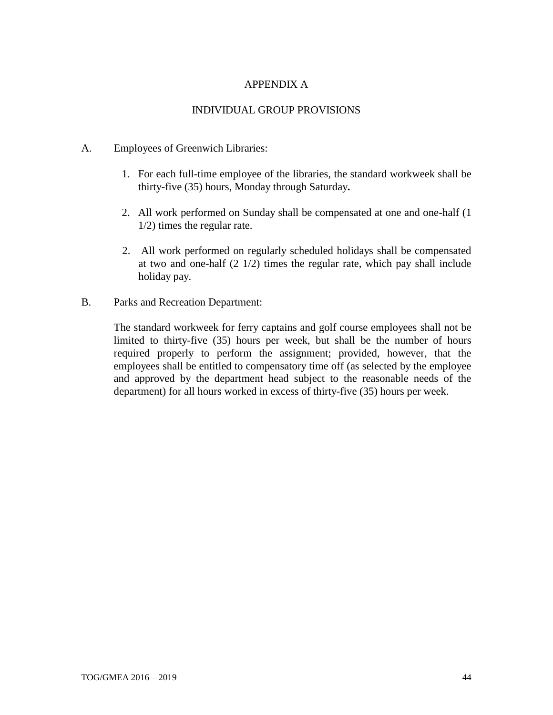## APPENDIX A

#### INDIVIDUAL GROUP PROVISIONS

#### A. Employees of Greenwich Libraries:

- 1. For each full-time employee of the libraries, the standard workweek shall be thirty-five (35) hours, Monday through Saturday**.**
- 2. All work performed on Sunday shall be compensated at one and one-half (1 1/2) times the regular rate.
- 2. All work performed on regularly scheduled holidays shall be compensated at two and one-half (2 1/2) times the regular rate, which pay shall include holiday pay.
- B. Parks and Recreation Department:

The standard workweek for ferry captains and golf course employees shall not be limited to thirty-five (35) hours per week, but shall be the number of hours required properly to perform the assignment; provided, however, that the employees shall be entitled to compensatory time off (as selected by the employee and approved by the department head subject to the reasonable needs of the department) for all hours worked in excess of thirty-five (35) hours per week.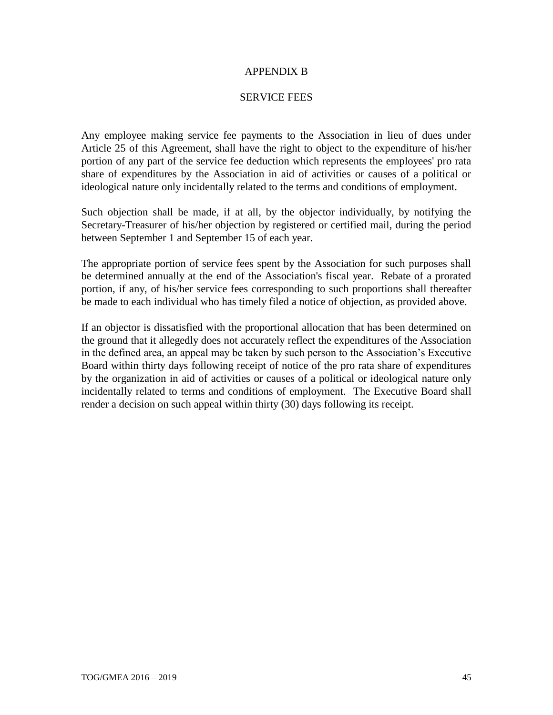#### APPENDIX B

#### SERVICE FEES

Any employee making service fee payments to the Association in lieu of dues under Article 25 of this Agreement, shall have the right to object to the expenditure of his/her portion of any part of the service fee deduction which represents the employees' pro rata share of expenditures by the Association in aid of activities or causes of a political or ideological nature only incidentally related to the terms and conditions of employment.

Such objection shall be made, if at all, by the objector individually, by notifying the Secretary-Treasurer of his/her objection by registered or certified mail, during the period between September 1 and September 15 of each year.

The appropriate portion of service fees spent by the Association for such purposes shall be determined annually at the end of the Association's fiscal year. Rebate of a prorated portion, if any, of his/her service fees corresponding to such proportions shall thereafter be made to each individual who has timely filed a notice of objection, as provided above.

If an objector is dissatisfied with the proportional allocation that has been determined on the ground that it allegedly does not accurately reflect the expenditures of the Association in the defined area, an appeal may be taken by such person to the Association's Executive Board within thirty days following receipt of notice of the pro rata share of expenditures by the organization in aid of activities or causes of a political or ideological nature only incidentally related to terms and conditions of employment. The Executive Board shall render a decision on such appeal within thirty (30) days following its receipt.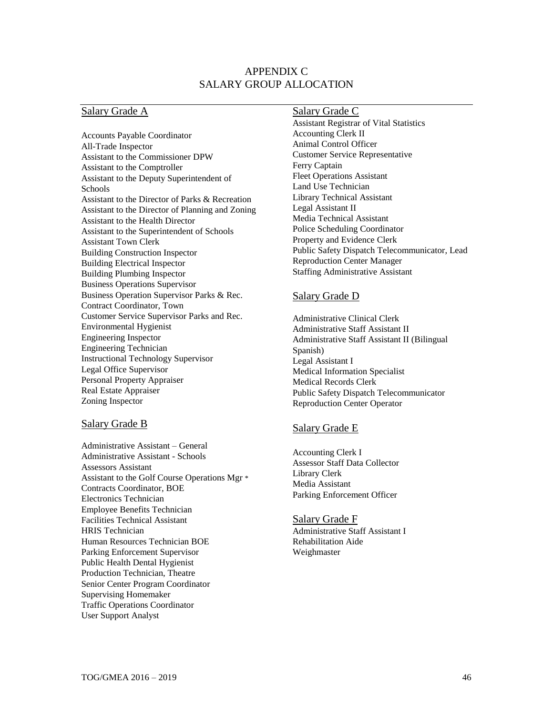### APPENDIX C SALARY GROUP ALLOCATION

#### Salary Grade A

Accounts Payable Coordinator All-Trade Inspector Assistant to the Commissioner DPW Assistant to the Comptroller Assistant to the Deputy Superintendent of Schools Assistant to the Director of Parks & Recreation Assistant to the Director of Planning and Zoning Assistant to the Health Director Assistant to the Superintendent of Schools Assistant Town Clerk Building Construction Inspector Building Electrical Inspector Building Plumbing Inspector Business Operations Supervisor Business Operation Supervisor Parks & Rec. Contract Coordinator, Town Customer Service Supervisor Parks and Rec. Environmental Hygienist Engineering Inspector Engineering Technician Instructional Technology Supervisor Legal Office Supervisor Personal Property Appraiser Real Estate Appraiser Zoning Inspector

#### Salary Grade B

Administrative Assistant – General Administrative Assistant - Schools Assessors Assistant Assistant to the Golf Course Operations Mgr \* Contracts Coordinator, BOE Electronics Technician Employee Benefits Technician Facilities Technical Assistant HRIS Technician Human Resources Technician BOE Parking Enforcement Supervisor Public Health Dental Hygienist Production Technician, Theatre Senior Center Program Coordinator Supervising Homemaker Traffic Operations Coordinator User Support Analyst

#### Salary Grade C

Assistant Registrar of Vital Statistics Accounting Clerk II Animal Control Officer Customer Service Representative Ferry Captain Fleet Operations Assistant Land Use Technician Library Technical Assistant Legal Assistant II Media Technical Assistant Police Scheduling Coordinator Property and Evidence Clerk Public Safety Dispatch Telecommunicator, Lead Reproduction Center Manager Staffing Administrative Assistant

#### Salary Grade D

Administrative Clinical Clerk Administrative Staff Assistant II Administrative Staff Assistant II (Bilingual Spanish) Legal Assistant I Medical Information Specialist Medical Records Clerk Public Safety Dispatch Telecommunicator Reproduction Center Operator

#### Salary Grade E

Accounting Clerk I Assessor Staff Data Collector Library Clerk Media Assistant Parking Enforcement Officer

#### Salary Grade F

Administrative Staff Assistant I Rehabilitation Aide Weighmaster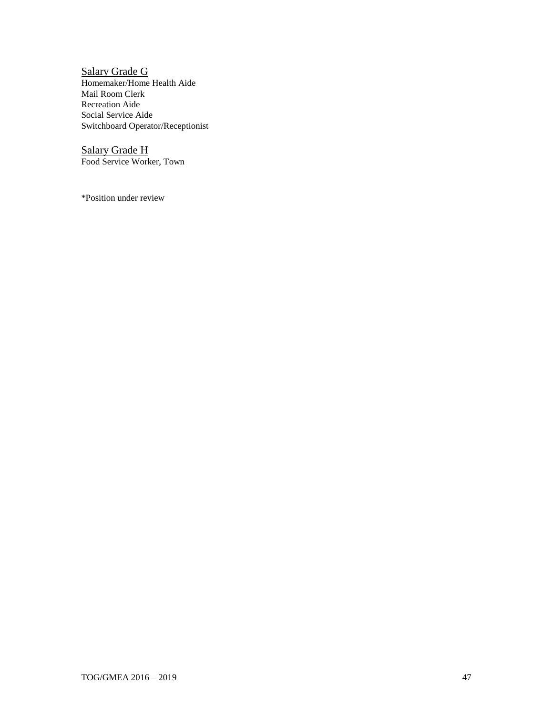Salary Grade G Homemaker/Home Health Aide Mail Room Clerk Recreation Aide Social Service Aide Switchboard Operator/Receptionist

Salary Grade H Food Service Worker, Town

\*Position under review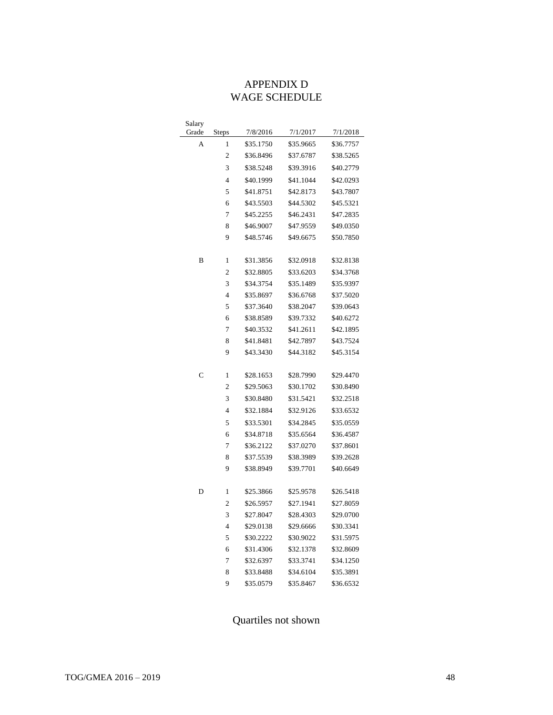# APPENDIX D WAGE SCHEDULE

| Salary       |                         |           |           |           |
|--------------|-------------------------|-----------|-----------|-----------|
| Grade        | <b>Steps</b>            | 7/8/2016  | 7/1/2017  | 7/1/2018  |
| А            | 1                       | \$35.1750 | \$35.9665 | \$36.7757 |
|              | 2                       | \$36.8496 | \$37.6787 | \$38.5265 |
|              | 3                       | \$38.5248 | \$39.3916 | \$40.2779 |
|              | 4                       | \$40.1999 | \$41.1044 | \$42.0293 |
|              | 5                       | \$41.8751 | \$42.8173 | \$43.7807 |
|              | 6                       | \$43.5503 | \$44.5302 | \$45.5321 |
|              | 7                       | \$45.2255 | \$46.2431 | \$47.2835 |
|              | 8                       | \$46.9007 | \$47.9559 | \$49.0350 |
|              | 9                       | \$48.5746 | \$49.6675 | \$50.7850 |
| B            | 1                       | \$31.3856 | \$32.0918 | \$32.8138 |
|              | 2                       | \$32.8805 | \$33.6203 | \$34.3768 |
|              | 3                       | \$34.3754 | \$35.1489 | \$35.9397 |
|              | 4                       | \$35.8697 | \$36.6768 | \$37.5020 |
|              | 5                       | \$37.3640 | \$38.2047 | \$39.0643 |
|              | 6                       | \$38.8589 | \$39.7332 | \$40.6272 |
|              | 7                       | \$40.3532 | \$41.2611 | \$42.1895 |
|              | 8                       | \$41.8481 | \$42.7897 | \$43.7524 |
|              | 9                       | \$43.3430 | \$44.3182 | \$45.3154 |
| $\mathsf{C}$ | 1                       | \$28.1653 | \$28.7990 | \$29.4470 |
|              | $\overline{\mathbf{c}}$ | \$29.5063 | \$30.1702 | \$30.8490 |
|              | 3                       | \$30.8480 | \$31.5421 | \$32.2518 |
|              | 4                       | \$32.1884 | \$32.9126 | \$33.6532 |
|              | 5                       | \$33.5301 | \$34.2845 | \$35.0559 |
|              | 6                       | \$34.8718 | \$35.6564 | \$36.4587 |
|              | 7                       | \$36.2122 | \$37.0270 | \$37.8601 |
|              | 8                       | \$37.5539 | \$38.3989 | \$39.2628 |
|              | 9                       | \$38.8949 | \$39.7701 | \$40.6649 |
| D            | 1                       | \$25.3866 | \$25.9578 | \$26.5418 |
|              | $\overline{c}$          | \$26.5957 | \$27.1941 | \$27.8059 |
|              | 3                       | \$27.8047 | \$28.4303 | \$29.0700 |
|              | 4                       | \$29.0138 | \$29.6666 | \$30.3341 |
|              | 5                       | \$30.2222 | \$30.9022 | \$31.5975 |
|              | 6                       | \$31.4306 | \$32.1378 | \$32.8609 |
|              | 7                       | \$32.6397 | \$33.3741 | \$34.1250 |
|              | 8                       | \$33.8488 | \$34.6104 | \$35.3891 |
|              | 9                       | \$35.0579 | \$35.8467 | \$36.6532 |

Quartiles not shown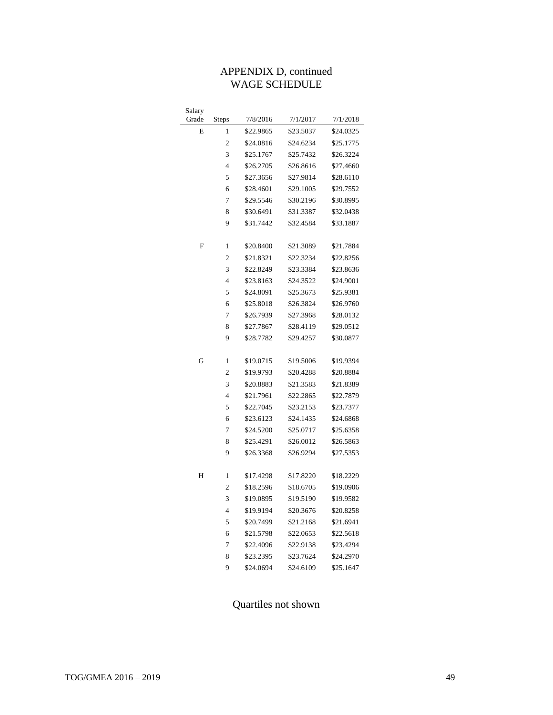# APPENDIX D, continued WAGE SCHEDULE

| Salary |                |           |           |           |
|--------|----------------|-----------|-----------|-----------|
| Grade  | <b>Steps</b>   | 7/8/2016  | 7/1/2017  | 7/1/2018  |
| E      | 1              | \$22.9865 | \$23.5037 | \$24.0325 |
|        | $\overline{2}$ | \$24.0816 | \$24.6234 | \$25.1775 |
|        | 3              | \$25.1767 | \$25.7432 | \$26.3224 |
|        | $\overline{4}$ | \$26.2705 | \$26.8616 | \$27.4660 |
|        | 5              | \$27.3656 | \$27.9814 | \$28.6110 |
|        | 6              | \$28.4601 | \$29.1005 | \$29.7552 |
|        | 7              | \$29.5546 | \$30.2196 | \$30.8995 |
|        | 8              | \$30.6491 | \$31.3387 | \$32.0438 |
|        | 9              | \$31.7442 | \$32.4584 | \$33.1887 |
|        |                |           |           |           |
| F      | 1              | \$20.8400 | \$21.3089 | \$21.7884 |
|        | $\overline{2}$ | \$21.8321 | \$22.3234 | \$22.8256 |
|        | 3              | \$22.8249 | \$23.3384 | \$23.8636 |
|        | $\overline{4}$ | \$23.8163 | \$24.3522 | \$24.9001 |
|        | 5              | \$24.8091 | \$25.3673 | \$25.9381 |
|        | 6              | \$25.8018 | \$26.3824 | \$26.9760 |
|        | 7              | \$26.7939 | \$27.3968 | \$28.0132 |
|        | 8              | \$27.7867 | \$28.4119 | \$29.0512 |
|        | 9              | \$28.7782 | \$29.4257 | \$30.0877 |
|        |                |           |           |           |
| G      | $\mathbf{1}$   | \$19.0715 | \$19.5006 | \$19.9394 |
|        | $\overline{c}$ | \$19.9793 | \$20.4288 | \$20.8884 |
|        | 3              | \$20.8883 | \$21.3583 | \$21.8389 |
|        | $\overline{4}$ | \$21.7961 | \$22.2865 | \$22.7879 |
|        | 5              | \$22.7045 | \$23.2153 | \$23.7377 |
|        | 6              | \$23.6123 | \$24.1435 | \$24.6868 |
|        | 7              | \$24.5200 | \$25.0717 | \$25.6358 |
|        | 8              | \$25.4291 | \$26.0012 | \$26.5863 |
|        | 9              | \$26.3368 | \$26.9294 | \$27.5353 |
|        |                |           |           |           |
| H      | 1              | \$17.4298 | \$17.8220 | \$18.2229 |
|        | $\overline{2}$ | \$18.2596 | \$18.6705 | \$19.0906 |
|        | 3              | \$19.0895 | \$19.5190 | \$19.9582 |
|        | $\overline{4}$ | \$19.9194 | \$20.3676 | \$20.8258 |
|        | 5              | \$20.7499 | \$21.2168 | \$21.6941 |
|        | 6              | \$21.5798 | \$22.0653 | \$22.5618 |
|        | 7              | \$22.4096 | \$22.9138 | \$23.4294 |
|        | 8              | \$23.2395 | \$23.7624 | \$24.2970 |
|        | 9              | \$24.0694 | \$24.6109 | \$25.1647 |

Quartiles not shown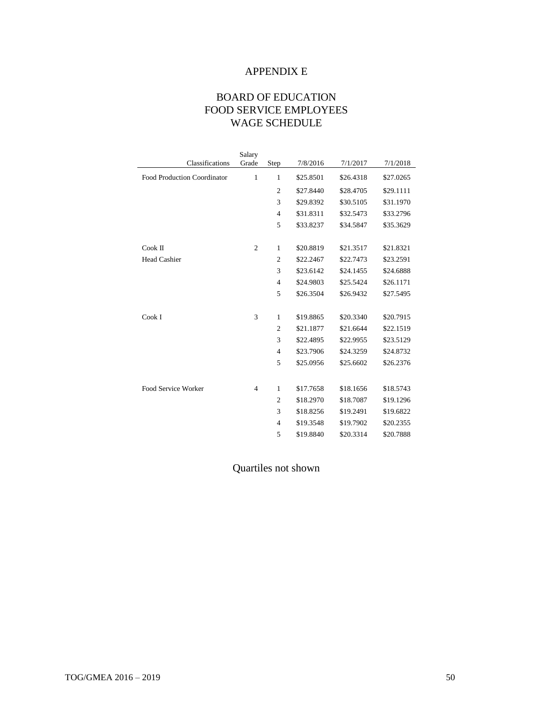# APPENDIX E

# BOARD OF EDUCATION FOOD SERVICE EMPLOYEES WAGE SCHEDULE

|                             | Salary         |                |           |           |           |
|-----------------------------|----------------|----------------|-----------|-----------|-----------|
| Classifications             | Grade          | Step           | 7/8/2016  | 7/1/2017  | 7/1/2018  |
| Food Production Coordinator | $\mathbf{1}$   | $\mathbf{1}$   | \$25.8501 | \$26.4318 | \$27.0265 |
|                             |                | $\overline{2}$ | \$27.8440 | \$28,4705 | \$29.1111 |
|                             |                | 3              | \$29.8392 | \$30.5105 | \$31.1970 |
|                             |                | $\overline{4}$ | \$31.8311 | \$32.5473 | \$33.2796 |
|                             |                | 5              | \$33.8237 | \$34.5847 | \$35.3629 |
| $Cook$ II                   | $\overline{c}$ | $\mathbf{1}$   | \$20.8819 | \$21.3517 | \$21.8321 |
| <b>Head Cashier</b>         |                | $\overline{c}$ | \$22.2467 | \$22.7473 | \$23.2591 |
|                             |                | 3              | \$23.6142 | \$24.1455 | \$24.6888 |
|                             |                | $\overline{4}$ | \$24.9803 | \$25.5424 | \$26.1171 |
|                             |                | 5              | \$26.3504 | \$26.9432 | \$27.5495 |
| Cook I                      | 3              | $\mathbf{1}$   | \$19.8865 | \$20.3340 | \$20.7915 |
|                             |                | $\overline{c}$ | \$21.1877 | \$21.6644 | \$22.1519 |
|                             |                | 3              | \$22.4895 | \$22.9955 | \$23.5129 |
|                             |                | $\overline{4}$ | \$23.7906 | \$24.3259 | \$24.8732 |
|                             |                | 5              | \$25.0956 | \$25.6602 | \$26.2376 |
| Food Service Worker         |                |                |           |           |           |
|                             | $\overline{4}$ | 1              | \$17.7658 | \$18.1656 | \$18.5743 |
|                             |                | $\overline{2}$ | \$18.2970 | \$18,7087 | \$19.1296 |
|                             |                | 3              | \$18,8256 | \$19.2491 | \$19.6822 |
|                             |                | $\overline{4}$ | \$19.3548 | \$19.7902 | \$20.2355 |
|                             |                | 5              | \$19.8840 | \$20.3314 | \$20.7888 |

Quartiles not shown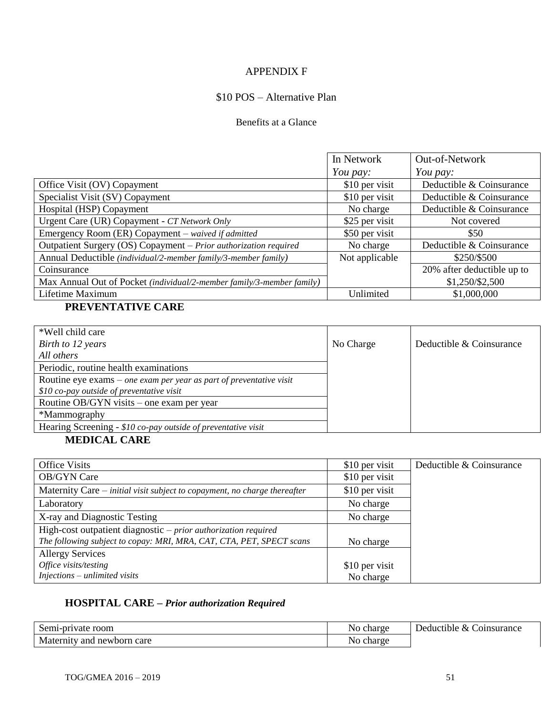## APPENDIX F

# \$10 POS – Alternative Plan

#### Benefits at a Glance

|                                                                       | In Network     | Out-of-Network             |
|-----------------------------------------------------------------------|----------------|----------------------------|
|                                                                       | You pay:       | You pay:                   |
| Office Visit (OV) Copayment                                           | \$10 per visit | Deductible & Coinsurance   |
| Specialist Visit (SV) Copayment                                       | \$10 per visit | Deductible & Coinsurance   |
| Hospital (HSP) Copayment                                              | No charge      | Deductible & Coinsurance   |
| Urgent Care (UR) Copayment - CT Network Only                          | \$25 per visit | Not covered                |
| Emergency Room (ER) Copayment - waived if admitted                    | \$50 per visit | \$50                       |
| Outpatient Surgery (OS) Copayment - Prior authorization required      | No charge      | Deductible & Coinsurance   |
| Annual Deductible (individual/2-member family/3-member family)        | Not applicable | \$250/\$500                |
| Coinsurance                                                           |                | 20% after deductible up to |
| Max Annual Out of Pocket (individual/2-member family/3-member family) |                | \$1,250/\$2,500            |
| Lifetime Maximum                                                      | Unlimited      | \$1,000,000                |

# **PREVENTATIVE CARE**

| *Well child care                                                      |           |                          |
|-----------------------------------------------------------------------|-----------|--------------------------|
| Birth to 12 years                                                     | No Charge | Deductible & Coinsurance |
| All others                                                            |           |                          |
| Periodic, routine health examinations                                 |           |                          |
| Routine eye exams $-$ one exam per year as part of preventative visit |           |                          |
| $$10 co$ -pay outside of preventative visit                           |           |                          |
| Routine OB/GYN visits – one exam per year                             |           |                          |
| *Mammography                                                          |           |                          |
| Hearing Screening - \$10 co-pay outside of preventative visit         |           |                          |

# **MEDICAL CARE**

| <b>Office Visits</b>                                                      | \$10 per visit | Deductible & Coinsurance |
|---------------------------------------------------------------------------|----------------|--------------------------|
| <b>OB/GYN Care</b>                                                        | \$10 per visit |                          |
| Maternity Care – initial visit subject to copayment, no charge thereafter | \$10 per visit |                          |
| Laboratory                                                                | No charge      |                          |
| X-ray and Diagnostic Testing                                              | No charge      |                          |
| High-cost outpatient diagnostic $-prior$ <i>authorization required</i>    |                |                          |
| The following subject to copay: MRI, MRA, CAT, CTA, PET, SPECT scans      | No charge      |                          |
| <b>Allergy Services</b>                                                   |                |                          |
| Office visits/testing                                                     | \$10 per visit |                          |
| Injections – unlimited visits                                             | No charge      |                          |

# **HOSPITAL CARE –** *Prior authorization Required*

| Semi-private room          | No charge | Coinsurance<br>Deductible & |
|----------------------------|-----------|-----------------------------|
| Maternity and newborn care | No charge |                             |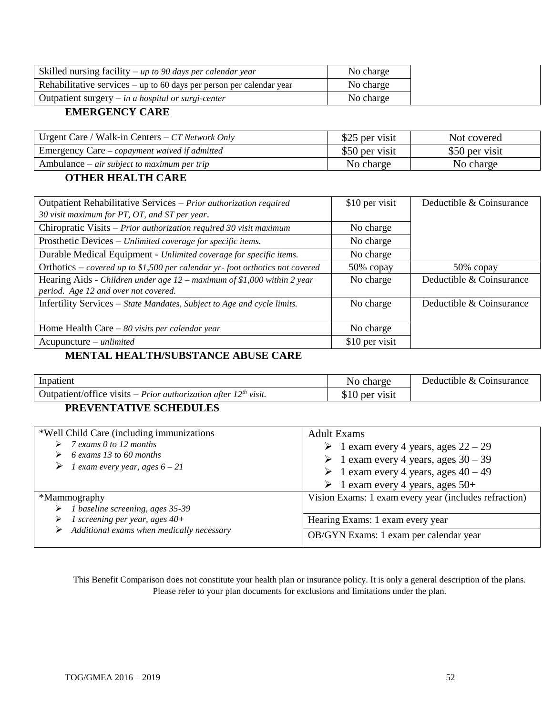| Skilled nursing facility $-\mu p$ to 90 days per calendar year         | No charge |
|------------------------------------------------------------------------|-----------|
| Rehabilitative services $-\nu$ to 60 days per person per calendar year | No charge |
| Outpatient surgery $-$ in a hospital or surgi-center                   | No charge |

### **EMERGENCY CARE**

| Urgent Care / Walk-in Centers – $CT$ Network Only | \$25 per visit | Not covered    |
|---------------------------------------------------|----------------|----------------|
| Emergency Care – copayment waived if admitted     | \$50 per visit | \$50 per visit |
| Ambulance $-\ air$ subject to maximum per trip    | No charge      | No charge      |

## **OTHER HEALTH CARE**

| Outpatient Rehabilitative Services - Prior authorization required            | \$10 per visit | Deductible & Coinsurance |
|------------------------------------------------------------------------------|----------------|--------------------------|
| 30 visit maximum for PT, OT, and ST per year.                                |                |                          |
| Chiropratic Visits - Prior authorization required 30 visit maximum           | No charge      |                          |
| Prosthetic Devices - Unlimited coverage for specific items.                  | No charge      |                          |
| Durable Medical Equipment - Unlimited coverage for specific items.           | No charge      |                          |
| Orthotics – covered up to \$1,500 per calendar yr-foot orthotics not covered | 50% copay      | 50% copay                |
| Hearing Aids - Children under age $12$ – maximum of \$1,000 within 2 year    | No charge      | Deductible & Coinsurance |
| period. Age 12 and over not covered.                                         |                |                          |
| Infertility Services - State Mandates, Subject to Age and cycle limits.      | No charge      | Deductible & Coinsurance |
|                                                                              |                |                          |
| Home Health Care $-80$ visits per calendar year                              | No charge      |                          |
| $Acupuncture - unlimited$                                                    | \$10 per visit |                          |

# **MENTAL HEALTH/SUBSTANCE ABUSE CARE**

| Inpatient                                                                          | charge    | Deductible & Coinsurance |
|------------------------------------------------------------------------------------|-----------|--------------------------|
| Outpatient/office visits – <i>Prior authorization after 12<sup>th</sup> visit.</i> | per visit |                          |

# **PREVENTATIVE SCHEDULES**

| *Well Child Care (including immunizations)<br>$\triangleright$ 7 exams 0 to 12 months<br>6 exams 13 to 60 months<br>$\triangleright$ 1 exam every year, ages 6 – 21 | <b>Adult Exams</b><br>$\geq 1$ exam every 4 years, ages $22 - 29$<br>$\geq 1$ exam every 4 years, ages 30 – 39<br>$\geq 1$ exam every 4 years, ages $40 - 49$<br>$\triangleright$ 1 exam every 4 years, ages 50+ |
|---------------------------------------------------------------------------------------------------------------------------------------------------------------------|------------------------------------------------------------------------------------------------------------------------------------------------------------------------------------------------------------------|
| *Mammography<br>$\triangleright$ 1 baseline screening, ages 35-39                                                                                                   | Vision Exams: 1 exam every year (includes refraction)                                                                                                                                                            |
| 1 screening per year, ages $40+$<br>➤                                                                                                                               | Hearing Exams: 1 exam every year                                                                                                                                                                                 |
| $\triangleright$ Additional exams when medically necessary                                                                                                          | OB/GYN Exams: 1 exam per calendar year                                                                                                                                                                           |

This Benefit Comparison does not constitute your health plan or insurance policy. It is only a general description of the plans. Please refer to your plan documents for exclusions and limitations under the plan.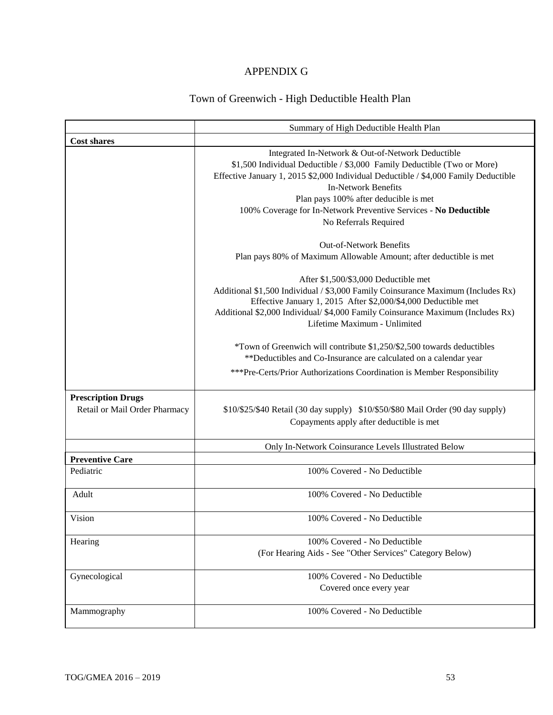# APPENDIX G

# Town of Greenwich - High Deductible Health Plan

|                                                            | Summary of High Deductible Health Plan                                                                                                                                                                                                                                                                                                                                                  |
|------------------------------------------------------------|-----------------------------------------------------------------------------------------------------------------------------------------------------------------------------------------------------------------------------------------------------------------------------------------------------------------------------------------------------------------------------------------|
| <b>Cost shares</b>                                         |                                                                                                                                                                                                                                                                                                                                                                                         |
|                                                            | Integrated In-Network & Out-of-Network Deductible<br>\$1,500 Individual Deductible / \$3,000 Family Deductible (Two or More)<br>Effective January 1, 2015 \$2,000 Individual Deductible / \$4,000 Family Deductible<br><b>In-Network Benefits</b><br>Plan pays 100% after deducible is met<br>100% Coverage for In-Network Preventive Services - No Deductible<br>No Referrals Required |
|                                                            | <b>Out-of-Network Benefits</b><br>Plan pays 80% of Maximum Allowable Amount; after deductible is met                                                                                                                                                                                                                                                                                    |
|                                                            | After \$1,500/\$3,000 Deductible met<br>Additional \$1,500 Individual / \$3,000 Family Coinsurance Maximum (Includes Rx)<br>Effective January 1, 2015 After \$2,000/\$4,000 Deductible met<br>Additional \$2,000 Individual/ \$4,000 Family Coinsurance Maximum (Includes Rx)<br>Lifetime Maximum - Unlimited                                                                           |
|                                                            | *Town of Greenwich will contribute \$1,250/\$2,500 towards deductibles<br>**Deductibles and Co-Insurance are calculated on a calendar year                                                                                                                                                                                                                                              |
|                                                            | ***Pre-Certs/Prior Authorizations Coordination is Member Responsibility                                                                                                                                                                                                                                                                                                                 |
| <b>Prescription Drugs</b><br>Retail or Mail Order Pharmacy | \$10/\$25/\$40 Retail (30 day supply) \$10/\$50/\$80 Mail Order (90 day supply)<br>Copayments apply after deductible is met                                                                                                                                                                                                                                                             |
|                                                            | Only In-Network Coinsurance Levels Illustrated Below                                                                                                                                                                                                                                                                                                                                    |
| <b>Preventive Care</b>                                     |                                                                                                                                                                                                                                                                                                                                                                                         |
| Pediatric                                                  | 100% Covered - No Deductible                                                                                                                                                                                                                                                                                                                                                            |
| Adult                                                      | 100% Covered - No Deductible                                                                                                                                                                                                                                                                                                                                                            |
| Vision                                                     | 100% Covered - No Deductible                                                                                                                                                                                                                                                                                                                                                            |
| Hearing                                                    | 100% Covered - No Deductible<br>(For Hearing Aids - See "Other Services" Category Below)                                                                                                                                                                                                                                                                                                |
| Gynecological                                              | 100% Covered - No Deductible<br>Covered once every year                                                                                                                                                                                                                                                                                                                                 |
| Mammography                                                | 100% Covered - No Deductible                                                                                                                                                                                                                                                                                                                                                            |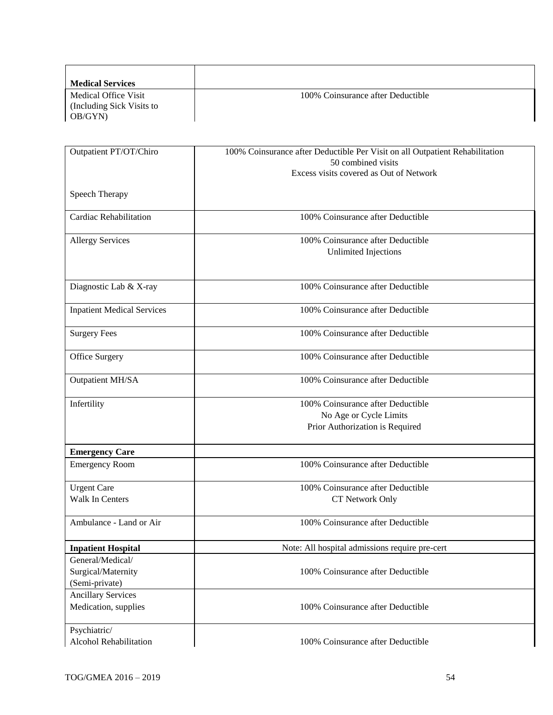| <b>Medical Services</b>   |                                   |
|---------------------------|-----------------------------------|
| Medical Office Visit      | 100% Coinsurance after Deductible |
| (Including Sick Visits to |                                   |
| OB/GYN)                   |                                   |

| Outpatient PT/OT/Chiro                                   | 100% Coinsurance after Deductible Per Visit on all Outpatient Rehabilitation<br>50 combined visits |  |
|----------------------------------------------------------|----------------------------------------------------------------------------------------------------|--|
|                                                          | Excess visits covered as Out of Network                                                            |  |
| Speech Therapy                                           |                                                                                                    |  |
| Cardiac Rehabilitation                                   | 100% Coinsurance after Deductible                                                                  |  |
| <b>Allergy Services</b>                                  | 100% Coinsurance after Deductible<br><b>Unlimited Injections</b>                                   |  |
| Diagnostic Lab & X-ray                                   | 100% Coinsurance after Deductible                                                                  |  |
| <b>Inpatient Medical Services</b>                        | 100% Coinsurance after Deductible                                                                  |  |
| <b>Surgery Fees</b>                                      | 100% Coinsurance after Deductible                                                                  |  |
| Office Surgery                                           | 100% Coinsurance after Deductible                                                                  |  |
| Outpatient MH/SA                                         | 100% Coinsurance after Deductible                                                                  |  |
| Infertility                                              | 100% Coinsurance after Deductible<br>No Age or Cycle Limits<br>Prior Authorization is Required     |  |
| <b>Emergency Care</b>                                    |                                                                                                    |  |
| <b>Emergency Room</b>                                    | 100% Coinsurance after Deductible                                                                  |  |
| <b>Urgent Care</b><br>Walk In Centers                    | 100% Coinsurance after Deductible<br>CT Network Only                                               |  |
| Ambulance - Land or Air                                  | 100% Coinsurance after Deductible                                                                  |  |
| <b>Inpatient Hospital</b>                                | Note: All hospital admissions require pre-cert                                                     |  |
| General/Medical/<br>Surgical/Maternity<br>(Semi-private) | 100% Coinsurance after Deductible                                                                  |  |
| <b>Ancillary Services</b><br>Medication, supplies        | 100% Coinsurance after Deductible                                                                  |  |
| Psychiatric/<br>Alcohol Rehabilitation                   | 100% Coinsurance after Deductible                                                                  |  |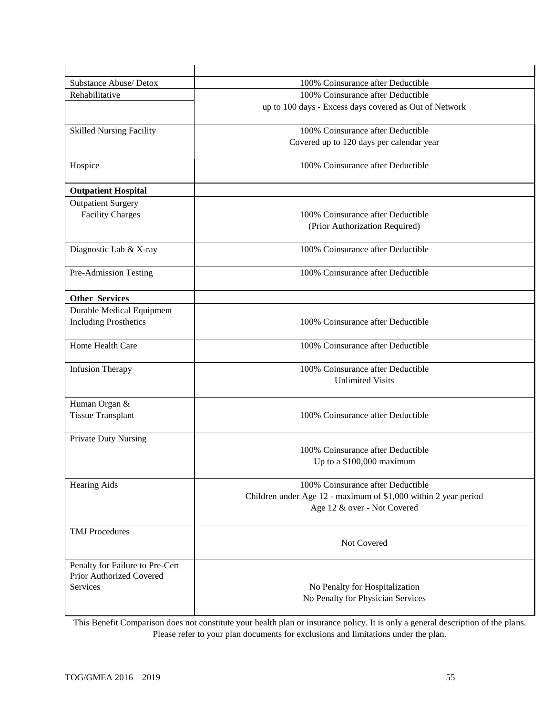| Substance Abuse/ Detox                      | 100% Coinsurance after Deductible                                   |  |
|---------------------------------------------|---------------------------------------------------------------------|--|
| Rehabilitative                              | 100% Coinsurance after Deductible                                   |  |
|                                             | up to 100 days - Excess days covered as Out of Network              |  |
| <b>Skilled Nursing Facility</b>             | 100% Coinsurance after Deductible                                   |  |
|                                             | Covered up to 120 days per calendar year                            |  |
| Hospice                                     | 100% Coinsurance after Deductible                                   |  |
| <b>Outpatient Hospital</b>                  |                                                                     |  |
| <b>Outpatient Surgery</b>                   |                                                                     |  |
| <b>Facility Charges</b>                     | 100% Coinsurance after Deductible                                   |  |
|                                             | (Prior Authorization Required)                                      |  |
| Diagnostic Lab & X-ray                      | 100% Coinsurance after Deductible                                   |  |
| Pre-Admission Testing                       | 100% Coinsurance after Deductible                                   |  |
| <b>Other Services</b>                       |                                                                     |  |
| <b>Durable Medical Equipment</b>            |                                                                     |  |
| <b>Including Prosthetics</b>                | 100% Coinsurance after Deductible                                   |  |
| Home Health Care                            | 100% Coinsurance after Deductible                                   |  |
| <b>Infusion Therapy</b>                     | 100% Coinsurance after Deductible                                   |  |
|                                             | <b>Unlimited Visits</b>                                             |  |
| Human Organ &                               |                                                                     |  |
| <b>Tissue Transplant</b>                    | 100% Coinsurance after Deductible                                   |  |
| <b>Private Duty Nursing</b>                 |                                                                     |  |
|                                             | 100% Coinsurance after Deductible                                   |  |
|                                             | Up to a \$100,000 maximum                                           |  |
| <b>Hearing Aids</b>                         | 100% Coinsurance after Deductible                                   |  |
|                                             | Children under Age 12 - maximum of \$1,000 within 2 year period     |  |
|                                             | Age 12 & over - Not Covered                                         |  |
| <b>TMJ</b> Procedures                       |                                                                     |  |
|                                             | Not Covered                                                         |  |
| Penalty for Failure to Pre-Cert             |                                                                     |  |
| Prior Authorized Covered<br><b>Services</b> |                                                                     |  |
|                                             | No Penalty for Hospitalization<br>No Penalty for Physician Services |  |
|                                             |                                                                     |  |

This Benefit Comparison does not constitute your health plan or insurance policy. It is only a general description of the plans. Please refer to your plan documents for exclusions and limitations under the plan.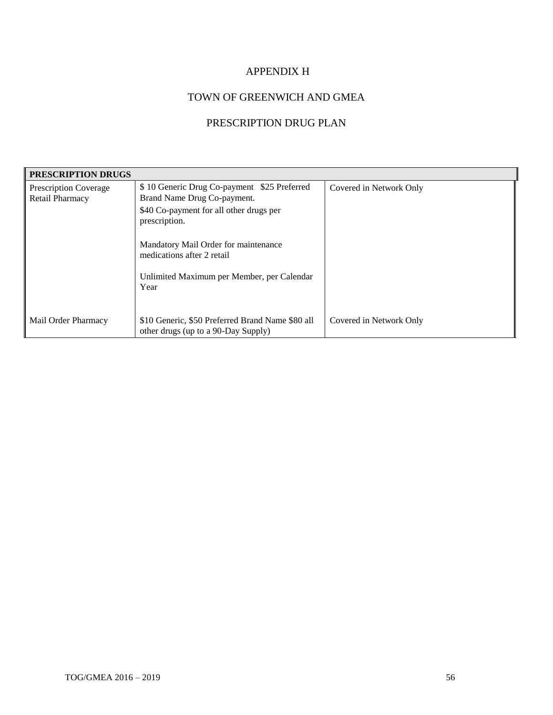# APPENDIX H

# TOWN OF GREENWICH AND GMEA

# PRESCRIPTION DRUG PLAN

| <b>PRESCRIPTION DRUGS</b>                |                                                                                                                                                                                                              |                         |  |
|------------------------------------------|--------------------------------------------------------------------------------------------------------------------------------------------------------------------------------------------------------------|-------------------------|--|
| Prescription Coverage<br>Retail Pharmacy | \$10 Generic Drug Co-payment \$25 Preferred<br>Brand Name Drug Co-payment.<br>\$40 Co-payment for all other drugs per<br>prescription.<br>Mandatory Mail Order for maintenance<br>medications after 2 retail | Covered in Network Only |  |
|                                          | Unlimited Maximum per Member, per Calendar<br>Year                                                                                                                                                           |                         |  |
| Mail Order Pharmacy                      | \$10 Generic, \$50 Preferred Brand Name \$80 all<br>other drugs (up to a 90-Day Supply)                                                                                                                      | Covered in Network Only |  |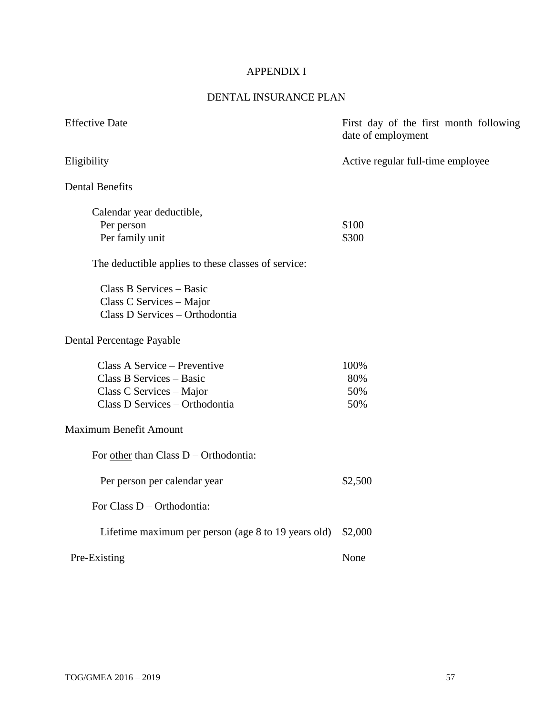# APPENDIX I

# DENTAL INSURANCE PLAN

| <b>Effective Date</b>                               | First day of the first month following<br>date of employment |
|-----------------------------------------------------|--------------------------------------------------------------|
| Eligibility                                         | Active regular full-time employee                            |
| <b>Dental Benefits</b>                              |                                                              |
| Calendar year deductible,                           |                                                              |
| Per person                                          | \$100                                                        |
| Per family unit                                     | \$300                                                        |
| The deductible applies to these classes of service: |                                                              |
| Class B Services - Basic                            |                                                              |
| Class C Services - Major                            |                                                              |
| Class D Services - Orthodontia                      |                                                              |
| Dental Percentage Payable                           |                                                              |
| Class A Service – Preventive                        | 100%                                                         |
| Class B Services - Basic                            | 80%                                                          |
| Class C Services - Major                            | 50%                                                          |
| Class D Services - Orthodontia                      | 50%                                                          |
| <b>Maximum Benefit Amount</b>                       |                                                              |
| For other than Class D - Orthodontia:               |                                                              |
| Per person per calendar year                        | \$2,500                                                      |
| For Class D - Orthodontia:                          |                                                              |
| Lifetime maximum per person (age 8 to 19 years old) | \$2,000                                                      |
| Pre-Existing                                        | None                                                         |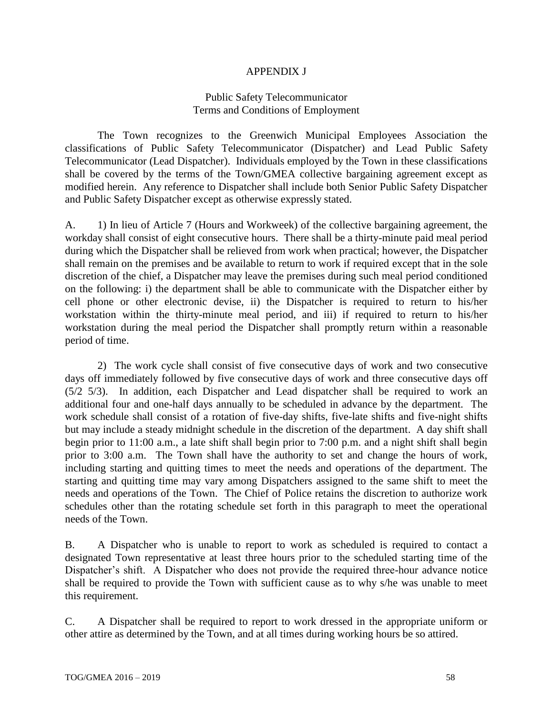#### APPENDIX J

#### Public Safety Telecommunicator Terms and Conditions of Employment

The Town recognizes to the Greenwich Municipal Employees Association the classifications of Public Safety Telecommunicator (Dispatcher) and Lead Public Safety Telecommunicator (Lead Dispatcher). Individuals employed by the Town in these classifications shall be covered by the terms of the Town/GMEA collective bargaining agreement except as modified herein. Any reference to Dispatcher shall include both Senior Public Safety Dispatcher and Public Safety Dispatcher except as otherwise expressly stated.

A. 1) In lieu of Article 7 (Hours and Workweek) of the collective bargaining agreement, the workday shall consist of eight consecutive hours. There shall be a thirty-minute paid meal period during which the Dispatcher shall be relieved from work when practical; however, the Dispatcher shall remain on the premises and be available to return to work if required except that in the sole discretion of the chief, a Dispatcher may leave the premises during such meal period conditioned on the following: i) the department shall be able to communicate with the Dispatcher either by cell phone or other electronic devise, ii) the Dispatcher is required to return to his/her workstation within the thirty-minute meal period, and iii) if required to return to his/her workstation during the meal period the Dispatcher shall promptly return within a reasonable period of time.

2) The work cycle shall consist of five consecutive days of work and two consecutive days off immediately followed by five consecutive days of work and three consecutive days off (5/2 5/3). In addition, each Dispatcher and Lead dispatcher shall be required to work an additional four and one-half days annually to be scheduled in advance by the department. The work schedule shall consist of a rotation of five-day shifts, five-late shifts and five-night shifts but may include a steady midnight schedule in the discretion of the department. A day shift shall begin prior to 11:00 a.m., a late shift shall begin prior to 7:00 p.m. and a night shift shall begin prior to 3:00 a.m. The Town shall have the authority to set and change the hours of work, including starting and quitting times to meet the needs and operations of the department. The starting and quitting time may vary among Dispatchers assigned to the same shift to meet the needs and operations of the Town. The Chief of Police retains the discretion to authorize work schedules other than the rotating schedule set forth in this paragraph to meet the operational needs of the Town.

B. A Dispatcher who is unable to report to work as scheduled is required to contact a designated Town representative at least three hours prior to the scheduled starting time of the Dispatcher's shift. A Dispatcher who does not provide the required three-hour advance notice shall be required to provide the Town with sufficient cause as to why s/he was unable to meet this requirement.

C. A Dispatcher shall be required to report to work dressed in the appropriate uniform or other attire as determined by the Town, and at all times during working hours be so attired.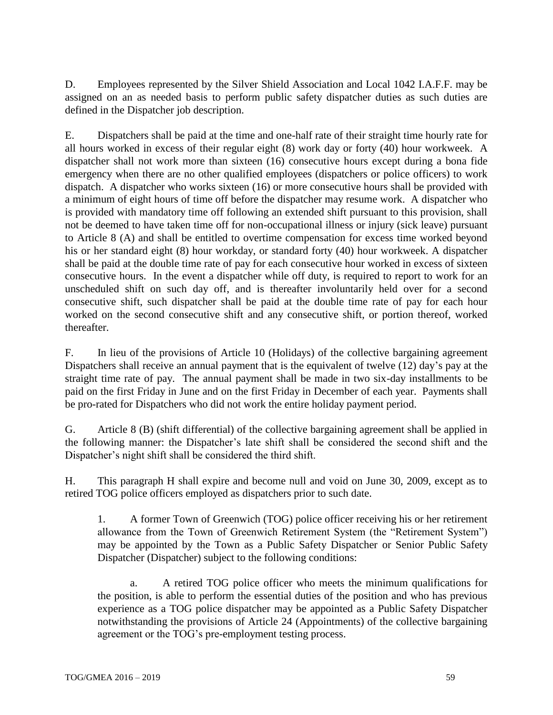D. Employees represented by the Silver Shield Association and Local 1042 I.A.F.F. may be assigned on an as needed basis to perform public safety dispatcher duties as such duties are defined in the Dispatcher job description.

E. Dispatchers shall be paid at the time and one-half rate of their straight time hourly rate for all hours worked in excess of their regular eight (8) work day or forty (40) hour workweek. A dispatcher shall not work more than sixteen (16) consecutive hours except during a bona fide emergency when there are no other qualified employees (dispatchers or police officers) to work dispatch. A dispatcher who works sixteen (16) or more consecutive hours shall be provided with a minimum of eight hours of time off before the dispatcher may resume work. A dispatcher who is provided with mandatory time off following an extended shift pursuant to this provision, shall not be deemed to have taken time off for non-occupational illness or injury (sick leave) pursuant to Article 8 (A) and shall be entitled to overtime compensation for excess time worked beyond his or her standard eight (8) hour workday, or standard forty (40) hour workweek. A dispatcher shall be paid at the double time rate of pay for each consecutive hour worked in excess of sixteen consecutive hours. In the event a dispatcher while off duty, is required to report to work for an unscheduled shift on such day off, and is thereafter involuntarily held over for a second consecutive shift, such dispatcher shall be paid at the double time rate of pay for each hour worked on the second consecutive shift and any consecutive shift, or portion thereof, worked thereafter.

F. In lieu of the provisions of Article 10 (Holidays) of the collective bargaining agreement Dispatchers shall receive an annual payment that is the equivalent of twelve (12) day's pay at the straight time rate of pay. The annual payment shall be made in two six-day installments to be paid on the first Friday in June and on the first Friday in December of each year. Payments shall be pro-rated for Dispatchers who did not work the entire holiday payment period.

G. Article 8 (B) (shift differential) of the collective bargaining agreement shall be applied in the following manner: the Dispatcher's late shift shall be considered the second shift and the Dispatcher's night shift shall be considered the third shift.

H. This paragraph H shall expire and become null and void on June 30, 2009, except as to retired TOG police officers employed as dispatchers prior to such date.

1. A former Town of Greenwich (TOG) police officer receiving his or her retirement allowance from the Town of Greenwich Retirement System (the "Retirement System") may be appointed by the Town as a Public Safety Dispatcher or Senior Public Safety Dispatcher (Dispatcher) subject to the following conditions:

a. A retired TOG police officer who meets the minimum qualifications for the position, is able to perform the essential duties of the position and who has previous experience as a TOG police dispatcher may be appointed as a Public Safety Dispatcher notwithstanding the provisions of Article 24 (Appointments) of the collective bargaining agreement or the TOG's pre-employment testing process.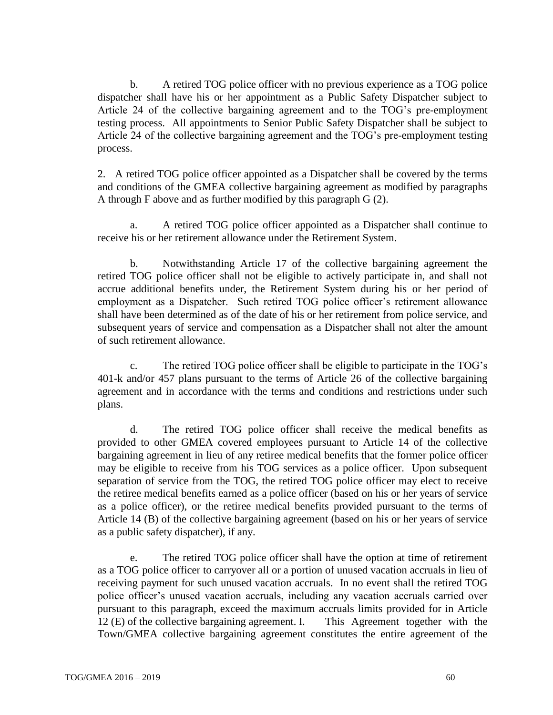b. A retired TOG police officer with no previous experience as a TOG police dispatcher shall have his or her appointment as a Public Safety Dispatcher subject to Article 24 of the collective bargaining agreement and to the TOG's pre-employment testing process. All appointments to Senior Public Safety Dispatcher shall be subject to Article 24 of the collective bargaining agreement and the TOG's pre-employment testing process.

2. A retired TOG police officer appointed as a Dispatcher shall be covered by the terms and conditions of the GMEA collective bargaining agreement as modified by paragraphs A through F above and as further modified by this paragraph G (2).

a. A retired TOG police officer appointed as a Dispatcher shall continue to receive his or her retirement allowance under the Retirement System.

b. Notwithstanding Article 17 of the collective bargaining agreement the retired TOG police officer shall not be eligible to actively participate in, and shall not accrue additional benefits under, the Retirement System during his or her period of employment as a Dispatcher. Such retired TOG police officer's retirement allowance shall have been determined as of the date of his or her retirement from police service, and subsequent years of service and compensation as a Dispatcher shall not alter the amount of such retirement allowance.

c. The retired TOG police officer shall be eligible to participate in the TOG's 401-k and/or 457 plans pursuant to the terms of Article 26 of the collective bargaining agreement and in accordance with the terms and conditions and restrictions under such plans.

d. The retired TOG police officer shall receive the medical benefits as provided to other GMEA covered employees pursuant to Article 14 of the collective bargaining agreement in lieu of any retiree medical benefits that the former police officer may be eligible to receive from his TOG services as a police officer. Upon subsequent separation of service from the TOG, the retired TOG police officer may elect to receive the retiree medical benefits earned as a police officer (based on his or her years of service as a police officer), or the retiree medical benefits provided pursuant to the terms of Article 14 (B) of the collective bargaining agreement (based on his or her years of service as a public safety dispatcher), if any.

e. The retired TOG police officer shall have the option at time of retirement as a TOG police officer to carryover all or a portion of unused vacation accruals in lieu of receiving payment for such unused vacation accruals. In no event shall the retired TOG police officer's unused vacation accruals, including any vacation accruals carried over pursuant to this paragraph, exceed the maximum accruals limits provided for in Article 12 (E) of the collective bargaining agreement. I. This Agreement together with the Town/GMEA collective bargaining agreement constitutes the entire agreement of the